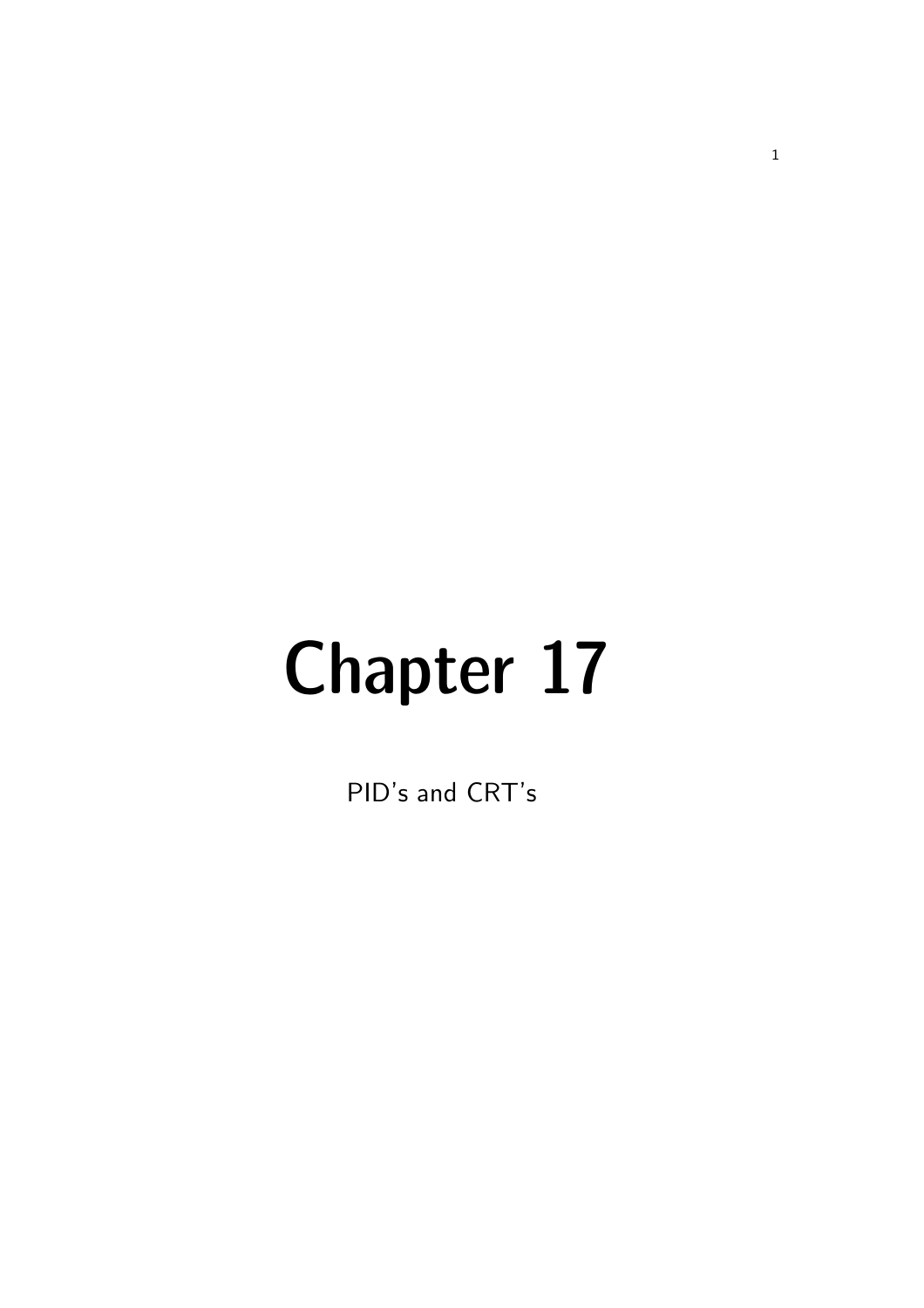# Chapter 17

PID's and CRT's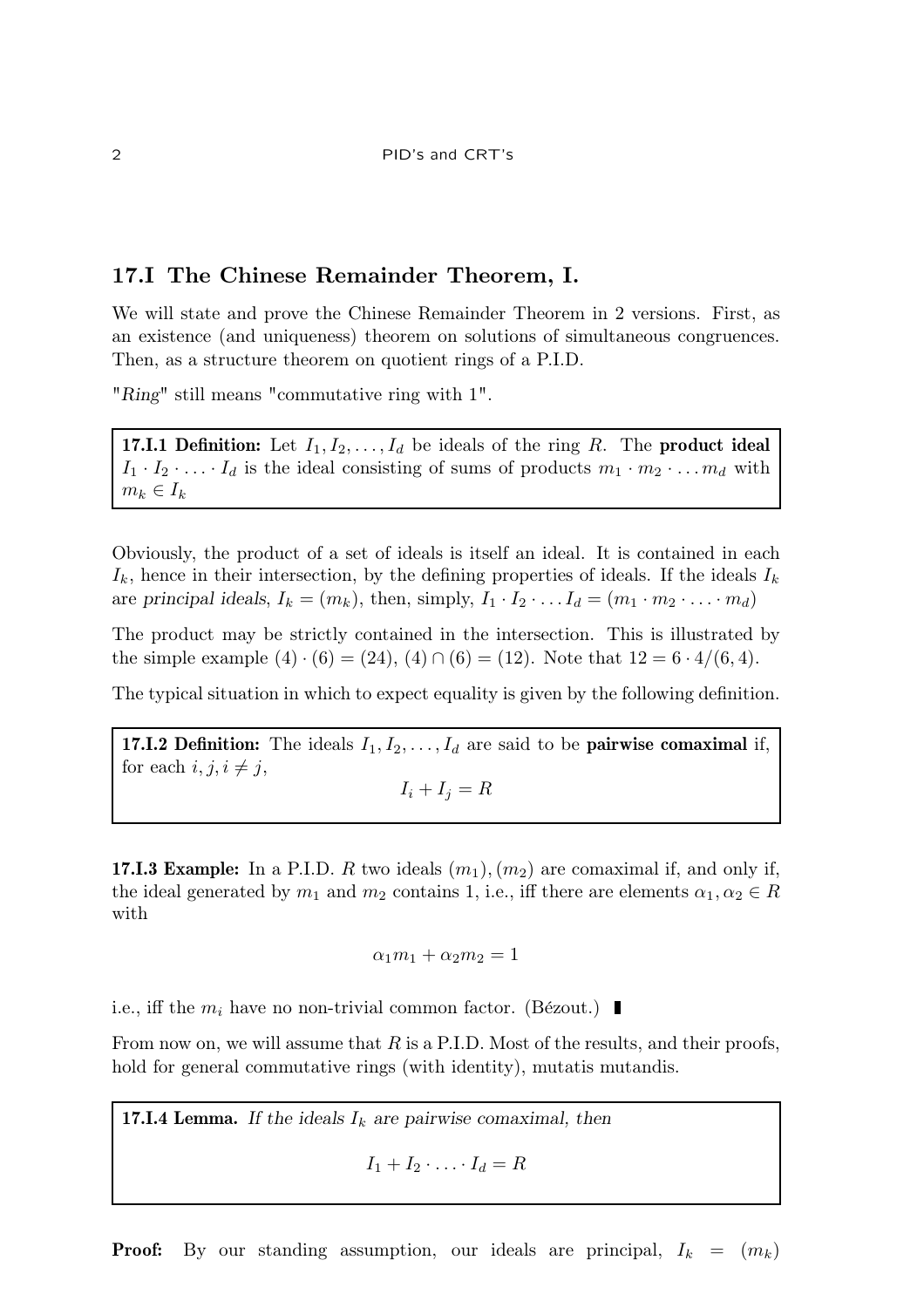# 17.I The Chinese Remainder Theorem, I.

We will state and prove the Chinese Remainder Theorem in 2 versions. First, as an existence (and uniqueness) theorem on solutions of simultaneous congruences. Then, as a structure theorem on quotient rings of a P.I.D.

"Ring" still means "commutative ring with 1".

**17.I.1 Definition:** Let  $I_1, I_2, \ldots, I_d$  be ideals of the ring R. The **product ideal**  $I_1 \cdot I_2 \cdot \ldots \cdot I_d$  is the ideal consisting of sums of products  $m_1 \cdot m_2 \cdot \ldots m_d$  with  $m_k \in I_k$ 

Obviously, the product of a set of ideals is itself an ideal. It is contained in each  $I_k$ , hence in their intersection, by the defining properties of ideals. If the ideals  $I_k$ are principal ideals,  $I_k = (m_k)$ , then, simply,  $I_1 \cdot I_2 \cdot \ldots I_d = (m_1 \cdot m_2 \cdot \ldots \cdot m_d)$ 

The product may be strictly contained in the intersection. This is illustrated by the simple example  $(4) \cdot (6) = (24)$ ,  $(4) \cap (6) = (12)$ . Note that  $12 = 6 \cdot 4/(6, 4)$ .

The typical situation in which to expect equality is given by the following definition.

**17.I.2 Definition:** The ideals  $I_1, I_2, \ldots, I_d$  are said to be **pairwise comaximal** if, for each  $i, j, i \neq j$ ,

 $I_i + I_j = R$ 

**17.I.3 Example:** In a P.I.D. R two ideals  $(m_1), (m_2)$  are comaximal if, and only if, the ideal generated by  $m_1$  and  $m_2$  contains 1, i.e., iff there are elements  $\alpha_1, \alpha_2 \in R$ with

$$
\alpha_1 m_1 + \alpha_2 m_2 = 1
$$

i.e., iff the  $m_i$  have no non-trivial common factor. (Bézout.)

From now on, we will assume that  $R$  is a P.I.D. Most of the results, and their proofs, hold for general commutative rings (with identity), mutatis mutandis.

**17.I.4 Lemma.** If the ideals  $I_k$  are pairwise comaximal, then

 $I_1 + I_2 \cdot \ldots \cdot I_d = R$ 

**Proof:** By our standing assumption, our ideals are principal,  $I_k = (m_k)$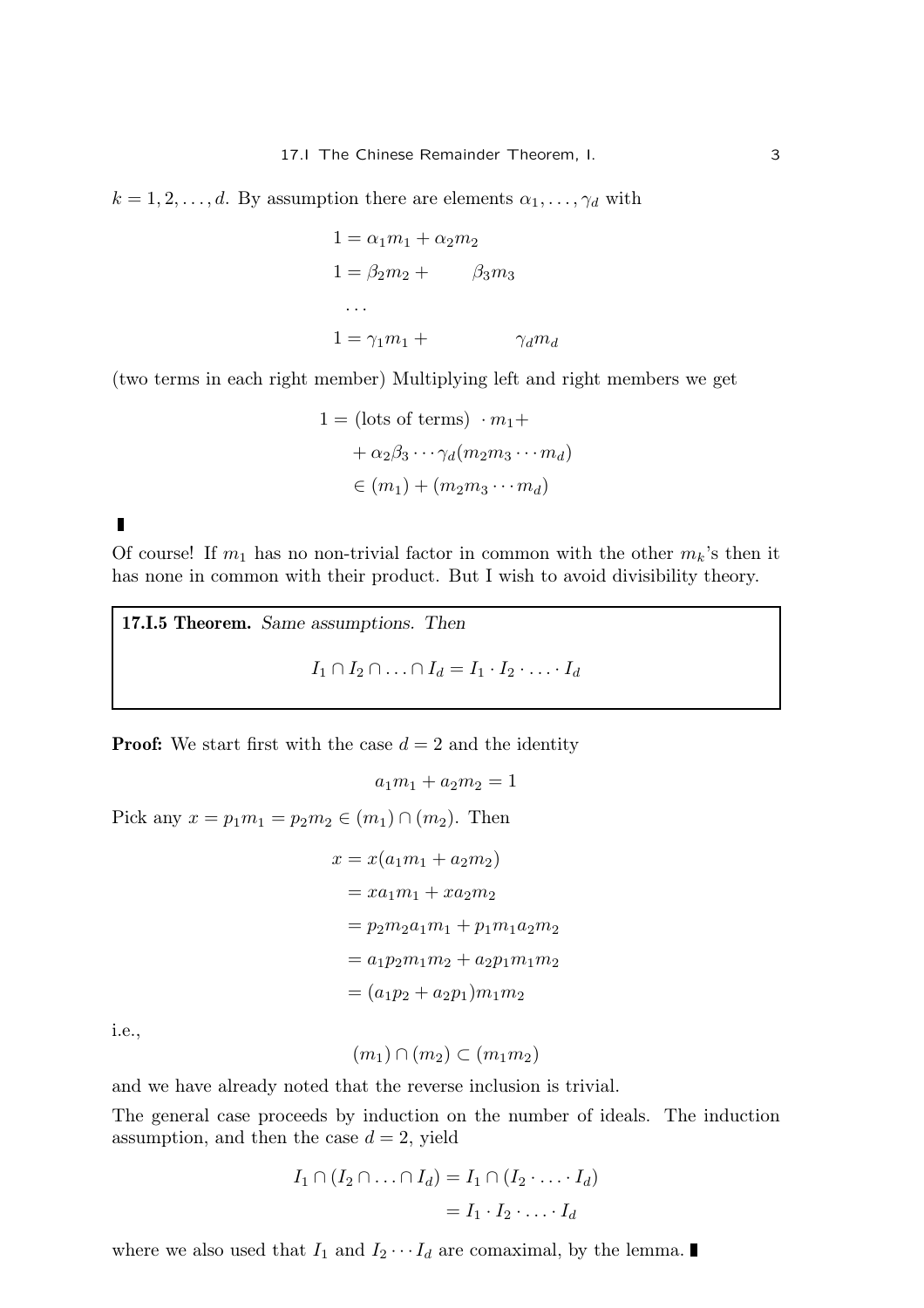$k = 1, 2, \ldots, d$ . By assumption there are elements  $\alpha_1, \ldots, \gamma_d$  with

$$
1 = \alpha_1 m_1 + \alpha_2 m_2
$$
  
\n
$$
1 = \beta_2 m_2 + \beta_3 m_3
$$
  
\n...  
\n
$$
1 = \gamma_1 m_1 + \gamma_d m_d
$$

(two terms in each right member) Multiplying left and right members we get

$$
1 = (\text{lots of terms}) \cdot m_1 +
$$
  
+  $\alpha_2 \beta_3 \cdots \gamma_d (m_2 m_3 \cdots m_d)$   
 $\in (m_1) + (m_2 m_3 \cdots m_d)$ 

 $\blacksquare$ 

Of course! If  $m_1$  has no non-trivial factor in common with the other  $m_k$ 's then it has none in common with their product. But I wish to avoid divisibility theory.

17.I.5 Theorem. Same assumptions. Then  $I_1 \cap I_2 \cap \ldots \cap I_d = I_1 \cdot I_2 \cdot \ldots \cdot I_d$ 

**Proof:** We start first with the case  $d = 2$  and the identity

```
a_1m_1 + a_2m_2 = 1
```
Pick any  $x = p_1 m_1 = p_2 m_2 \in (m_1) \cap (m_2)$ . Then

$$
x = x(a_1m_1 + a_2m_2)
$$
  
=  $xa_1m_1 + xa_2m_2$   
=  $p_2m_2a_1m_1 + p_1m_1a_2m_2$   
=  $a_1p_2m_1m_2 + a_2p_1m_1m_2$   
=  $(a_1p_2 + a_2p_1)m_1m_2$ 

i.e.,

$$
(m_1)\cap(m_2)\subset(m_1m_2)
$$

and we have already noted that the reverse inclusion is trivial.

The general case proceeds by induction on the number of ideals. The induction assumption, and then the case  $d = 2$ , yield

$$
I_1 \cap (I_2 \cap \ldots \cap I_d) = I_1 \cap (I_2 \cdot \ldots \cdot I_d)
$$

$$
= I_1 \cdot I_2 \cdot \ldots \cdot I_d
$$

where we also used that  $I_1$  and  $I_2 \cdots I_d$  are comaximal, by the lemma.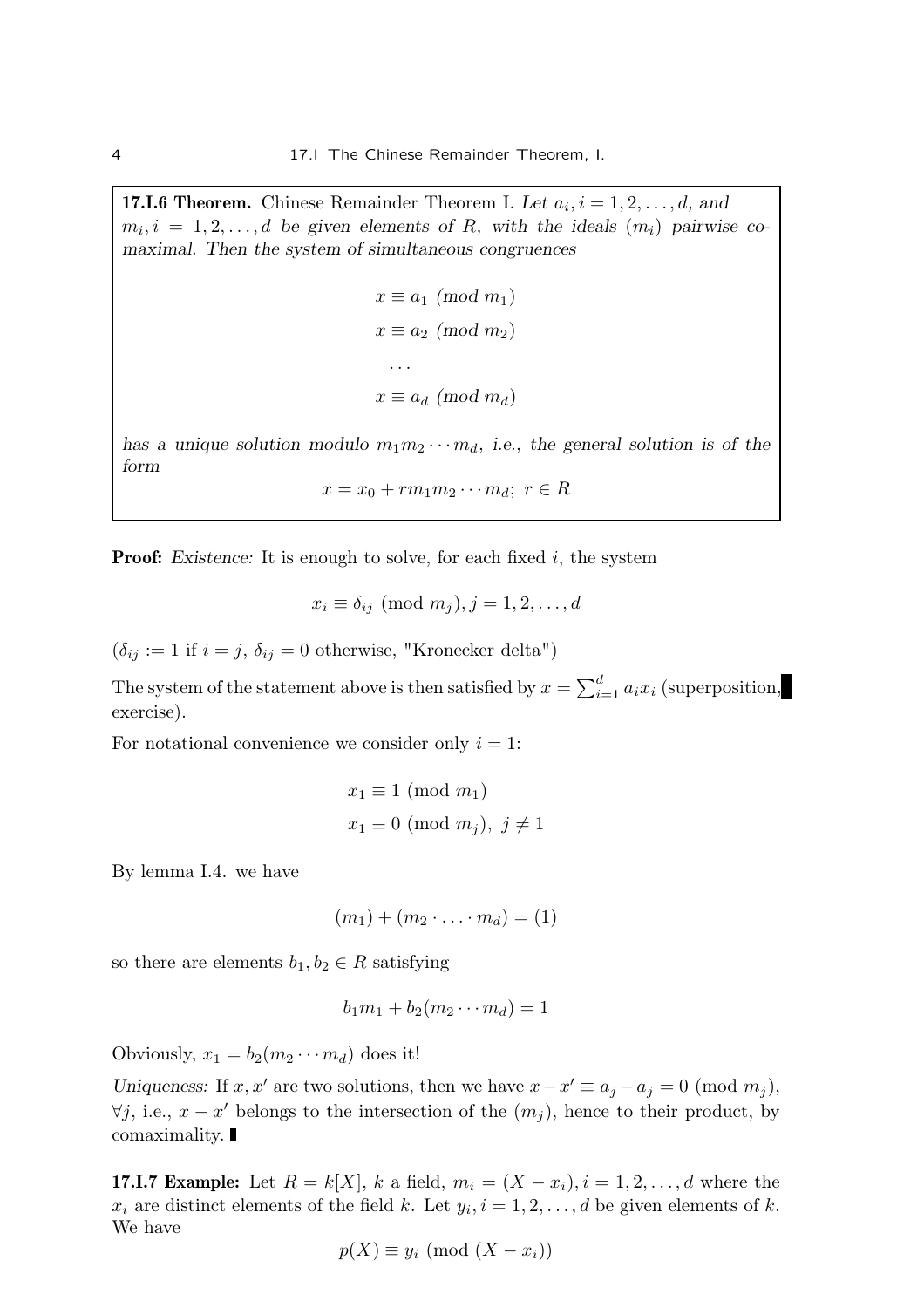**17.I.6 Theorem.** Chinese Remainder Theorem I. Let  $a_i$ ,  $i = 1, 2, ..., d$ , and  $m_i, i = 1, 2, \ldots, d$  be given elements of R, with the ideals  $(m_i)$  pairwise comaximal. Then the system of simultaneous congruences

```
x \equiv a_1 \pmod{m_1}x \equiv a_2 \pmod{m_2}. . .
x \equiv a_d \pmod{m_d}
```
has a unique solution modulo  $m_1m_2\cdots m_d$ , i.e., the general solution is of the form

$$
x = x_0 + rm_1m_2\cdots m_d; \ r \in R
$$

**Proof:** Existence: It is enough to solve, for each fixed  $i$ , the system

$$
x_i \equiv \delta_{ij} \pmod{m_j}, j = 1, 2, \ldots, d
$$

 $(\delta_{ij} := 1 \text{ if } i = j, \delta_{ij} = 0 \text{ otherwise}, \text{ "Kronecker delta")}$ 

The system of the statement above is then satisfied by  $x = \sum_{i=1}^{d} a_i x_i$  (superposition, exercise).

For notational convenience we consider only  $i = 1$ :

$$
x_1 \equiv 1 \pmod{m_1}
$$
  

$$
x_1 \equiv 0 \pmod{m_j}, \ j \neq 1
$$

By lemma I.4. we have

$$
(m_1)+(m_2\cdot\ldots\cdot m_d)=(1)
$$

so there are elements  $b_1, b_2 \in R$  satisfying

$$
b_1m_1+b_2(m_2\cdots m_d)=1
$$

Obviously,  $x_1 = b_2(m_2 \cdots m_d)$  does it!

Uniqueness: If x, x' are two solutions, then we have  $x - x' \equiv a_j - a_j = 0 \pmod{m_j}$ ,  $\forall j$ , i.e.,  $x - x'$  belongs to the intersection of the  $(m_j)$ , hence to their product, by comaximality.

**17.I.7 Example:** Let  $R = k[X]$ , k a field,  $m_i = (X - x_i)$ ,  $i = 1, 2, ..., d$  where the  $x_i$  are distinct elements of the field k. Let  $y_i$ ,  $i = 1, 2, ..., d$  be given elements of k. We have

$$
p(X) \equiv y_i \pmod{(X - x_i)}
$$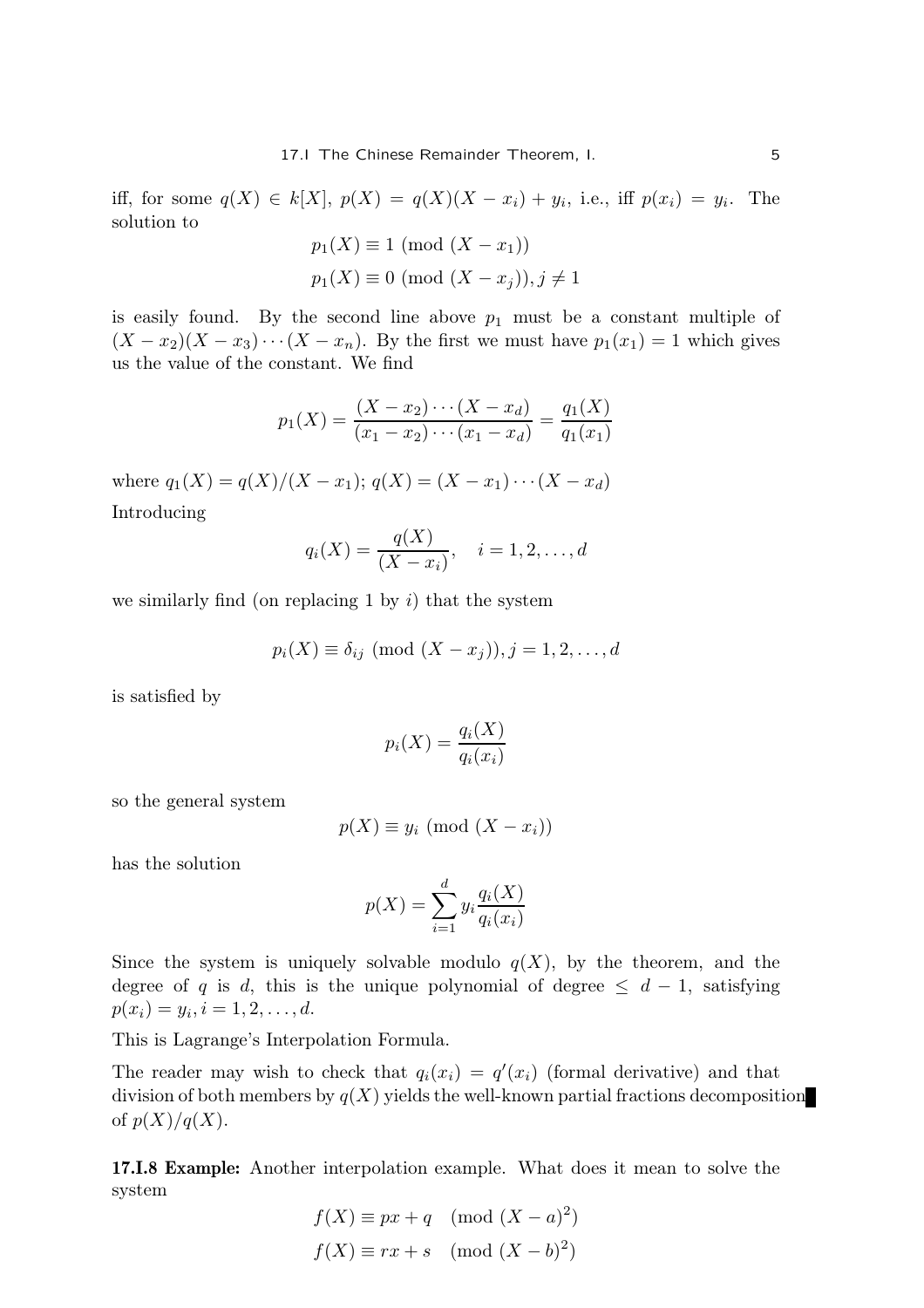iff, for some  $q(X) \in k[X]$ ,  $p(X) = q(X)(X - x_i) + y_i$ , i.e., iff  $p(x_i) = y_i$ . The solution to

$$
p_1(X) \equiv 1 \pmod{(X - x_1)}
$$
  

$$
p_1(X) \equiv 0 \pmod{(X - x_j)}, j \neq 1
$$

is easily found. By the second line above  $p_1$  must be a constant multiple of  $(X - x_2)(X - x_3) \cdots (X - x_n)$ . By the first we must have  $p_1(x_1) = 1$  which gives us the value of the constant. We find

$$
p_1(X) = \frac{(X - x_2) \cdots (X - x_d)}{(x_1 - x_2) \cdots (x_1 - x_d)} = \frac{q_1(X)}{q_1(x_1)}
$$

where  $q_1(X) = q(X)/(X - x_1); q(X) = (X - x_1) \cdots (X - x_d)$ Introducing

$$
q_i(X) = \frac{q(X)}{(X - x_i)}, \quad i = 1, 2, \dots, d
$$

we similarly find (on replacing 1 by  $i$ ) that the system

 $p_i(X) \equiv \delta_{ij} \pmod{(X - x_i)}, j = 1, 2, \ldots, d$ 

is satisfied by

$$
p_i(X) = \frac{q_i(X)}{q_i(x_i)}
$$

so the general system

$$
p(X) \equiv y_i \pmod{(X - x_i)}
$$

has the solution

$$
p(X) = \sum_{i=1}^{d} y_i \frac{q_i(X)}{q_i(x_i)}
$$

Since the system is uniquely solvable modulo  $q(X)$ , by the theorem, and the degree of q is d, this is the unique polynomial of degree  $\leq d-1$ , satisfying  $p(x_i) = y_i, i = 1, 2, \dots, d.$ 

This is Lagrange's Interpolation Formula.

The reader may wish to check that  $q_i(x_i) = q'(x_i)$  (formal derivative) and that division of both members by  $q(X)$  yields the well-known partial fractions decomposition of  $p(X)/q(X)$ .

17.I.8 Example: Another interpolation example. What does it mean to solve the system

$$
f(X) \equiv px + q \pmod{(X - a)^{2}}
$$

$$
f(X) \equiv rx + s \pmod{(X - b)^{2}}
$$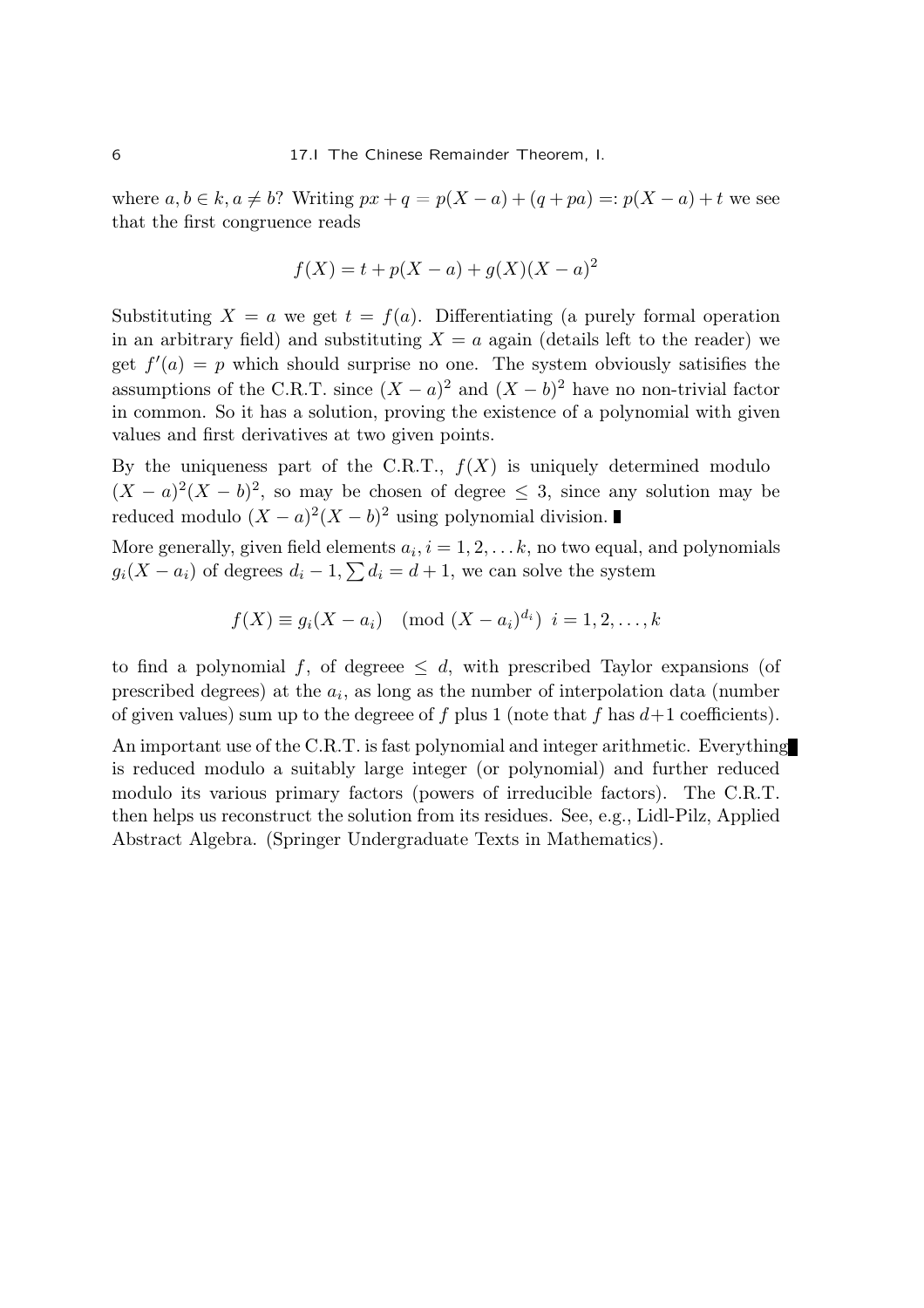where  $a, b \in k$ ,  $a \neq b$ ? Writing  $px + q = p(X - a) + (q + pa) =: p(X - a) + t$  we see that the first congruence reads

$$
f(X) = t + p(X - a) + g(X)(X - a)^2
$$

Substituting  $X = a$  we get  $t = f(a)$ . Differentiating (a purely formal operation in an arbitrary field) and substituting  $X = a$  again (details left to the reader) we get  $f'(a) = p$  which should surprise no one. The system obviously satisfies the assumptions of the C.R.T. since  $(X - a)^2$  and  $(X - b)^2$  have no non-trivial factor in common. So it has a solution, proving the existence of a polynomial with given values and first derivatives at two given points.

By the uniqueness part of the C.R.T.,  $f(X)$  is uniquely determined modulo  $(X-a)^2(X-b)^2$ , so may be chosen of degree  $\leq$  3, since any solution may be reduced modulo  $(X - a)^2(X - b)^2$  using polynomial division.

More generally, given field elements  $a_i, i = 1, 2, \ldots k$ , no two equal, and polynomials  $g_i(X - a_i)$  of degrees  $d_i - 1$ ,  $\sum d_i = d + 1$ , we can solve the system

$$
f(X) \equiv g_i(X - a_i) \pmod{(X - a_i)^{d_i}}
$$
  $i = 1, 2, ..., k$ 

to find a polynomial f, of degreee  $\leq d$ , with prescribed Taylor expansions (of prescribed degrees) at the  $a_i$ , as long as the number of interpolation data (number of given values) sum up to the degreee of f plus 1 (note that f has  $d+1$  coefficients).

An important use of the C.R.T. is fast polynomial and integer arithmetic. Everything is reduced modulo a suitably large integer (or polynomial) and further reduced modulo its various primary factors (powers of irreducible factors). The C.R.T. then helps us reconstruct the solution from its residues. See, e.g., Lidl-Pilz, Applied Abstract Algebra. (Springer Undergraduate Texts in Mathematics).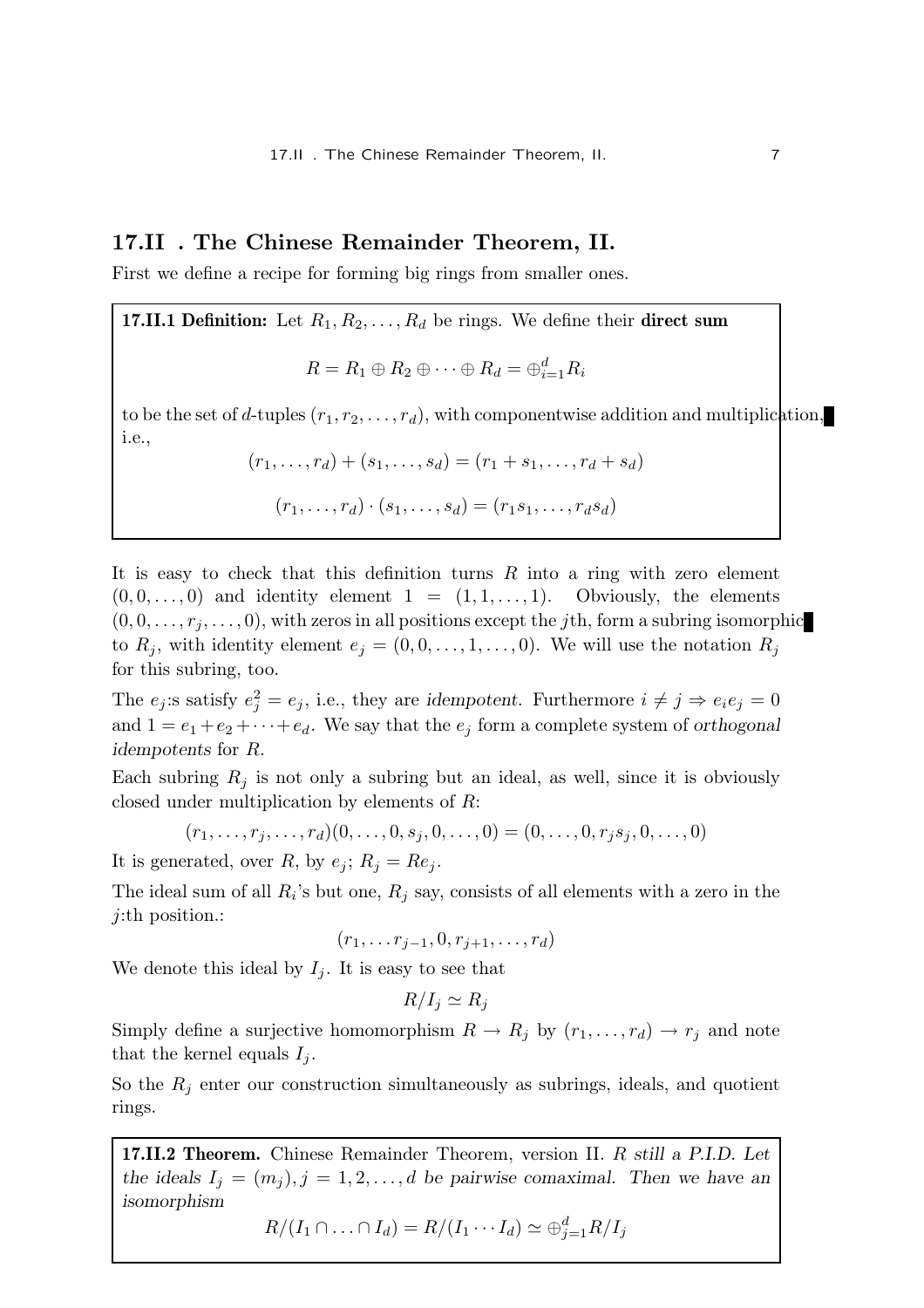# 17.II . The Chinese Remainder Theorem, II.

First we define a recipe for forming big rings from smaller ones.

**17.II.1 Definition:** Let  $R_1, R_2, \ldots, R_d$  be rings. We define their **direct sum** 

$$
R = R_1 \oplus R_2 \oplus \cdots \oplus R_d = \oplus_{i=1}^d R_i
$$

to be the set of d-tuples  $(r_1, r_2, \ldots, r_d)$ , with componentwise addition and multiplication, i.e.,

$$
(r_1,...,r_d) + (s_1,...,s_d) = (r_1 + s_1,...,r_d + s_d)
$$

$$
(r_1,\ldots,r_d)\cdot(s_1,\ldots,s_d)=(r_1s_1,\ldots,r_d s_d)
$$

It is easy to check that this definition turns  $R$  into a ring with zero element  $(0, 0, \ldots, 0)$  and identity element  $1 = (1, 1, \ldots, 1)$ . Obviously, the elements  $(0, 0, \ldots, r_j, \ldots, 0)$ , with zeros in all positions except the jth, form a subring isomorphic to  $R_j$ , with identity element  $e_j = (0, 0, \ldots, 1, \ldots, 0)$ . We will use the notation  $R_j$ for this subring, too.

The  $e_j$ :s satisfy  $e_j^2 = e_j$ , i.e., they are idempotent. Furthermore  $i \neq j \Rightarrow e_i e_j = 0$ and  $1 = e_1 + e_2 + \cdots + e_d$ . We say that the  $e_i$  form a complete system of orthogonal idempotents for R.

Each subring  $R_i$  is not only a subring but an ideal, as well, since it is obviously closed under multiplication by elements of R:

$$
(r_1, \ldots, r_j, \ldots, r_d)(0, \ldots, 0, s_j, 0, \ldots, 0) = (0, \ldots, 0, r_j s_j, 0, \ldots, 0)
$$

It is generated, over R, by  $e_j$ ;  $R_j = Re_j$ .

The ideal sum of all  $R_i$ 's but one,  $R_j$  say, consists of all elements with a zero in the j:th position.:

$$
(r_1,\ldots r_{j-1},0,r_{j+1},\ldots,r_d)
$$

We denote this ideal by  $I_i$ . It is easy to see that

$$
R/I_j \simeq R_j
$$

Simply define a surjective homomorphism  $R \to R_j$  by  $(r_1, \ldots, r_d) \to r_j$  and note that the kernel equals  $I_i$ .

So the  $R_i$  enter our construction simultaneously as subrings, ideals, and quotient rings.

17.II.2 Theorem. Chinese Remainder Theorem, version II. R still a P.I.D. Let the ideals  $I_j = (m_j), j = 1, 2, ..., d$  be pairwise comaximal. Then we have an isomorphism

 $R/(I_1 \cap ... \cap I_d) = R/(I_1 \cdots I_d) \simeq \bigoplus_{j=1}^d R/I_j$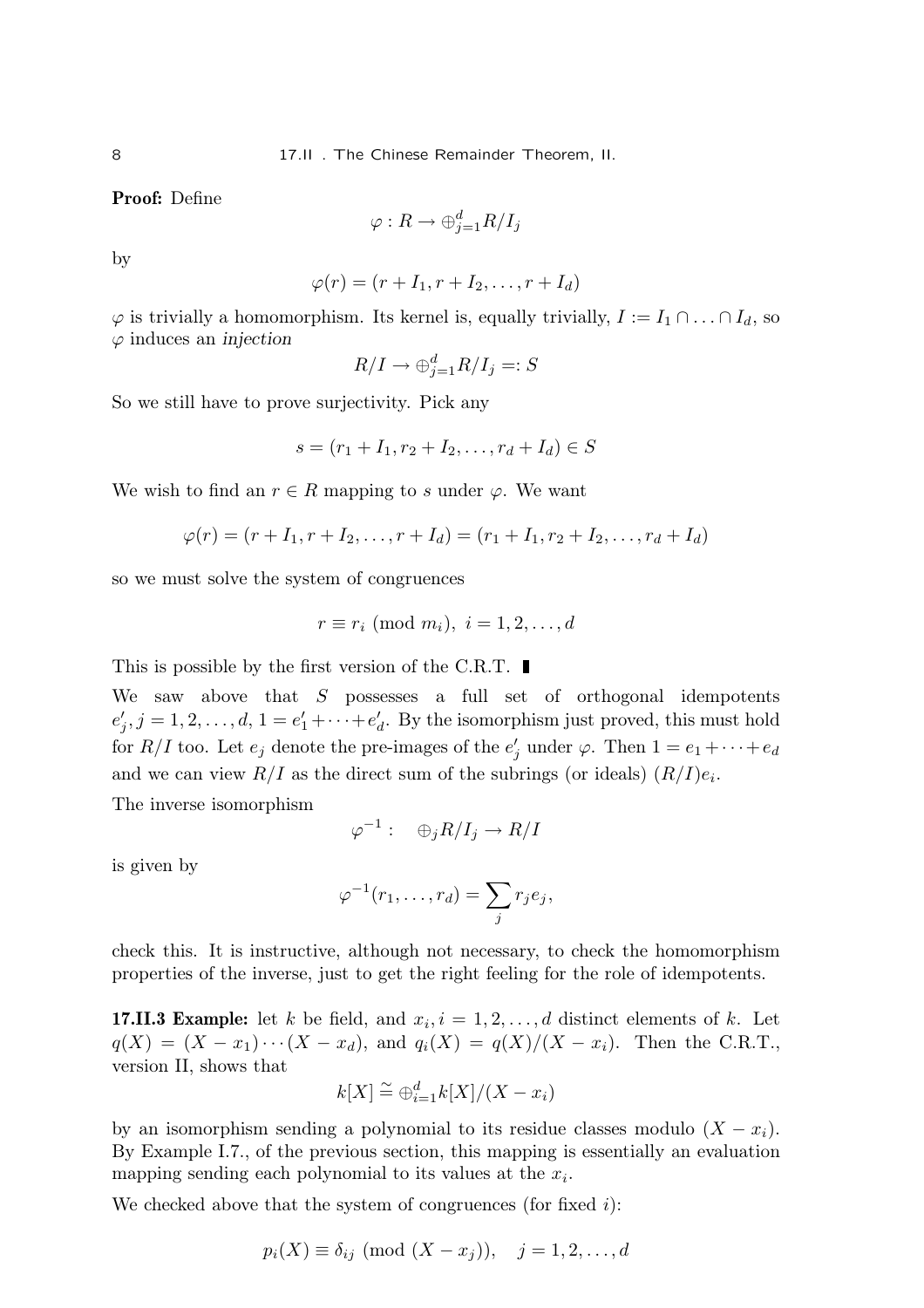Proof: Define

$$
\varphi: R \to \oplus_{j=1}^d R/I_j
$$

by

$$
\varphi(r)=(r+I_1,r+I_2,\ldots,r+I_d)
$$

 $\varphi$  is trivially a homomorphism. Its kernel is, equally trivially,  $I := I_1 \cap ... \cap I_d$ , so  $\varphi$  induces an *injection* 

$$
R/I \to \bigoplus_{j=1}^{d} R/I_j =: S
$$

So we still have to prove surjectivity. Pick any

$$
s = (r_1 + I_1, r_2 + I_2, \dots, r_d + I_d) \in S
$$

We wish to find an  $r \in R$  mapping to s under  $\varphi$ . We want

$$
\varphi(r) = (r + I_1, r + I_2, \dots, r + I_d) = (r_1 + I_1, r_2 + I_2, \dots, r_d + I_d)
$$

so we must solve the system of congruences

$$
r \equiv r_i \pmod{m_i}, \ i = 1, 2, \dots, d
$$

This is possible by the first version of the C.R.T.  $\blacksquare$ 

We saw above that  $S$  possesses a full set of orthogonal idempotents  $e'_{j}, j = 1, 2, \ldots, d, 1 = e'_{1} + \cdots + e'_{d}$ . By the isomorphism just proved, this must hold for  $R/I$  too. Let  $e_j$  denote the pre-images of the  $e'_j$  under  $\varphi$ . Then  $1 = e_1 + \cdots + e_d$ and we can view  $R/I$  as the direct sum of the subrings (or ideals)  $(R/I)e_i$ .

The inverse isomorphism

$$
\varphi^{-1}:\quad \oplus_j R/I_j\to R/I
$$

is given by

$$
\varphi^{-1}(r_1,\ldots,r_d)=\sum_j r_j e_j,
$$

check this. It is instructive, although not necessary, to check the homomorphism properties of the inverse, just to get the right feeling for the role of idempotents.

**17.II.3 Example:** let k be field, and  $x_i$ ,  $i = 1, 2, ..., d$  distinct elements of k. Let  $q(X) = (X - x_1) \cdots (X - x_d)$ , and  $q_i(X) = q(X)/(X - x_i)$ . Then the C.R.T., version II, shows that

$$
k[X] \stackrel{\sim}{=} \bigoplus_{i=1}^d k[X]/(X - x_i)
$$

by an isomorphism sending a polynomial to its residue classes modulo  $(X - x_i)$ . By Example I.7., of the previous section, this mapping is essentially an evaluation mapping sending each polynomial to its values at the  $x_i$ .

We checked above that the system of congruences (for fixed  $i$ ):

$$
p_i(X) \equiv \delta_{ij} \pmod{(X - x_j)}, \quad j = 1, 2, \dots, d
$$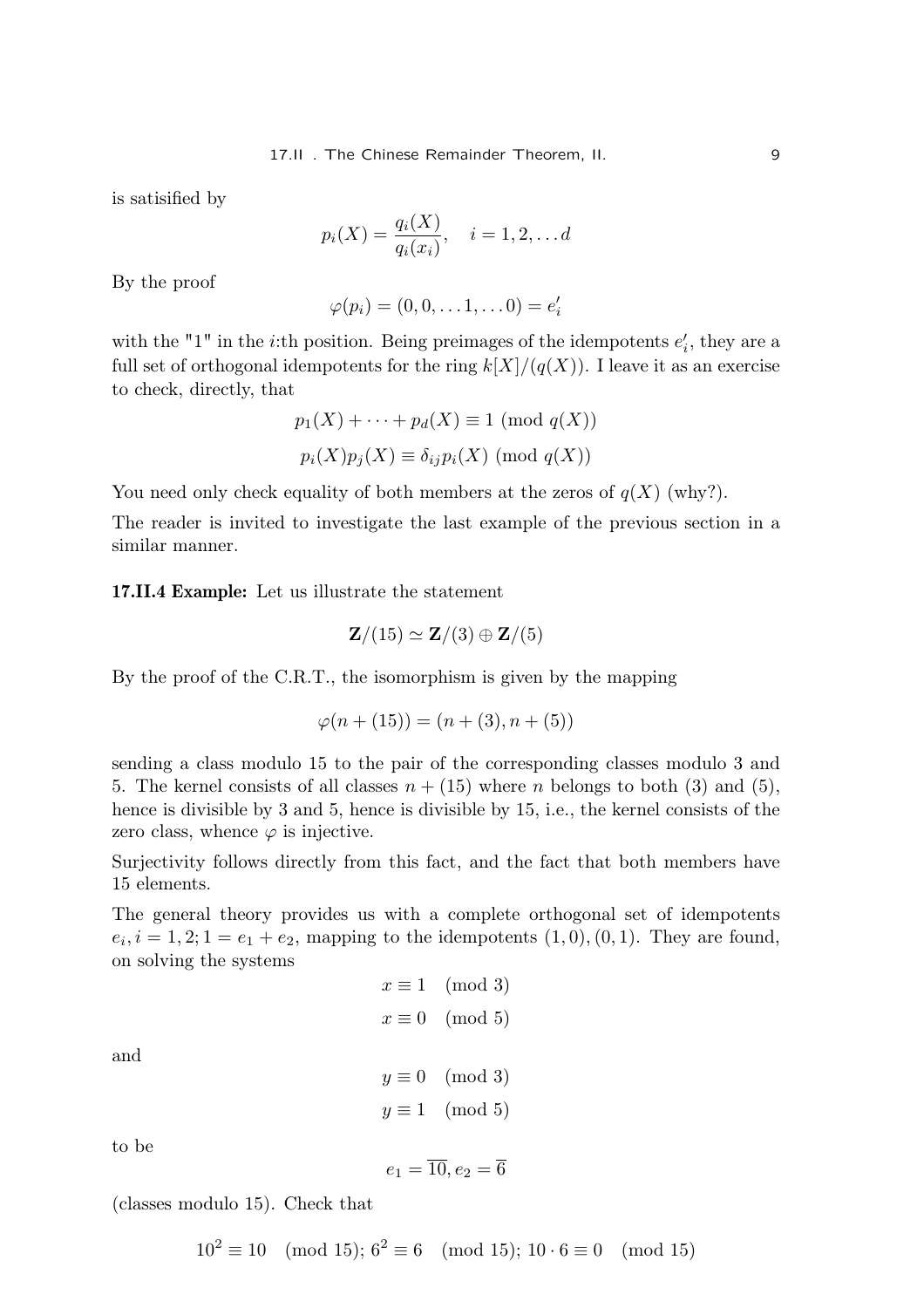is satisified by

$$
p_i(X) = \frac{q_i(X)}{q_i(x_i)}, \quad i = 1, 2, \dots d
$$

By the proof

$$
\varphi(p_i)=(0,0,\ldots 1,\ldots 0)=e_i'
$$

with the "1" in the *i*:th position. Being preimages of the idempotents  $e'_i$ , they are a full set of orthogonal idempotents for the ring  $k[X]/(q(X))$ . I leave it as an exercise to check, directly, that

$$
p_1(X) + \cdots + p_d(X) \equiv 1 \pmod{q(X)}
$$
  

$$
p_i(X)p_j(X) \equiv \delta_{ij}p_i(X) \pmod{q(X)}
$$

You need only check equality of both members at the zeros of  $q(X)$  (why?).

The reader is invited to investigate the last example of the previous section in a similar manner.

17.II.4 Example: Let us illustrate the statement

$$
\mathbf{Z}/(15) \simeq \mathbf{Z}/(3) \oplus \mathbf{Z}/(5)
$$

By the proof of the C.R.T., the isomorphism is given by the mapping

$$
\varphi(n + (15)) = (n + (3), n + (5))
$$

sending a class modulo 15 to the pair of the corresponding classes modulo 3 and 5. The kernel consists of all classes  $n + (15)$  where n belongs to both (3) and (5), hence is divisible by 3 and 5, hence is divisible by 15, i.e., the kernel consists of the zero class, whence  $\varphi$  is injective.

Surjectivity follows directly from this fact, and the fact that both members have 15 elements.

The general theory provides us with a complete orthogonal set of idempotents  $e_i, i = 1, 2; 1 = e_1 + e_2$ , mapping to the idempotents  $(1, 0), (0, 1)$ . They are found, on solving the systems

$$
x \equiv 1 \pmod{3}
$$

$$
x \equiv 0 \pmod{5}
$$

$$
y \equiv 0 \pmod{3}
$$

$$
y \equiv 1 \pmod{5}
$$

to be

and

$$
e_1=\overline{10},e_2=\overline{6}
$$

(classes modulo 15). Check that

 $10^2 \equiv 10 \pmod{15}$ ;  $6^2 \equiv 6 \pmod{15}$ ;  $10 \cdot 6 \equiv 0 \pmod{15}$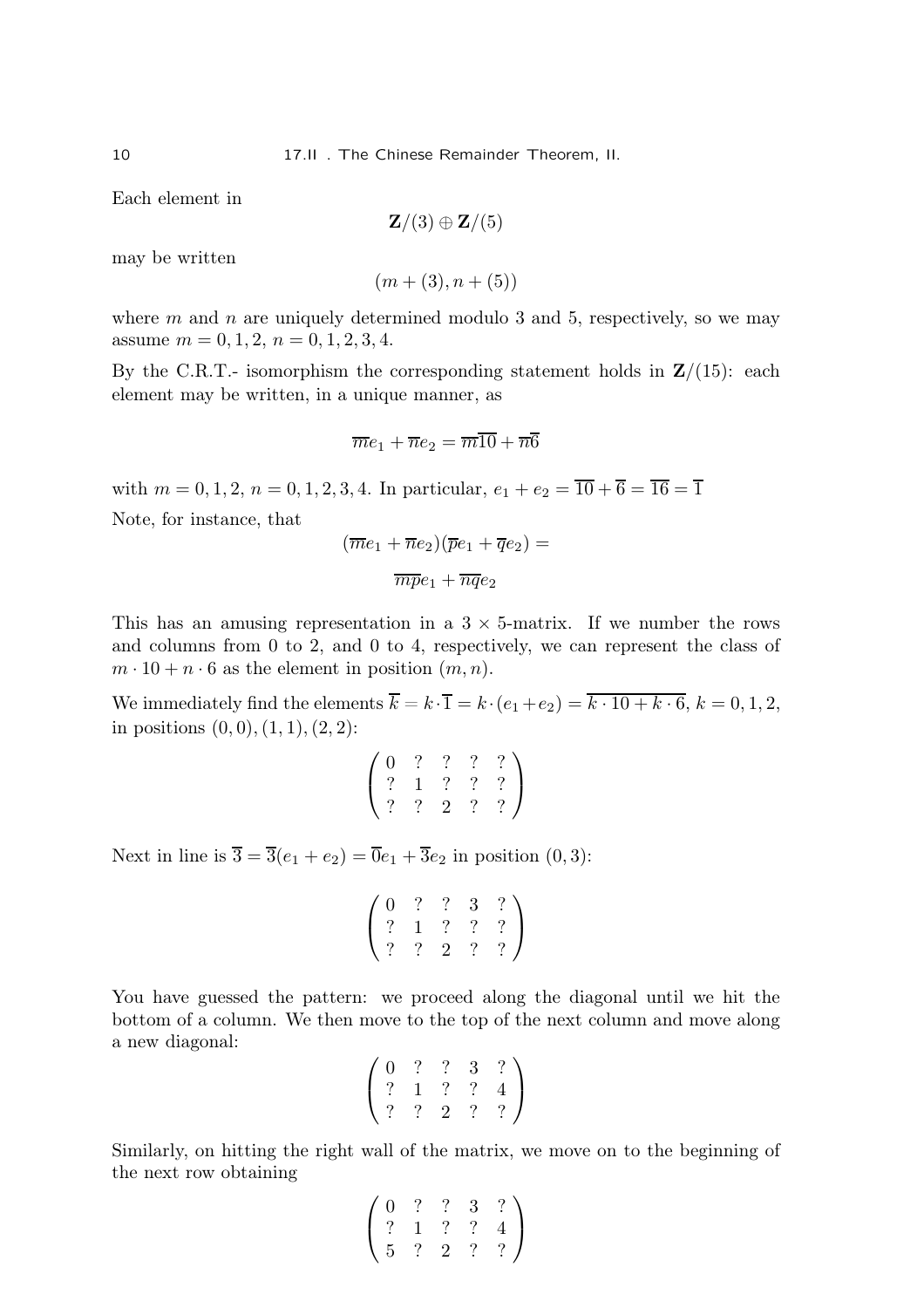Each element in

$$
\mathbf{Z}/(3) \oplus \mathbf{Z}/(5)
$$

may be written

 $(m+(3), n+(5))$ 

where  $m$  and  $n$  are uniquely determined modulo 3 and 5, respectively, so we may assume  $m = 0, 1, 2, n = 0, 1, 2, 3, 4.$ 

By the C.R.T.- isomorphism the corresponding statement holds in  $\mathbb{Z}/(15)$ : each element may be written, in a unique manner, as

$$
\overline{m}e_1 + \overline{n}e_2 = \overline{m}\overline{10} + \overline{n}\overline{6}
$$

with  $m = 0, 1, 2, n = 0, 1, 2, 3, 4$ . In particular,  $e_1 + e_2 = \overline{10} + \overline{6} = \overline{16} = \overline{1}$ Note, for instance, that

$$
(\overline{m}e_1 + \overline{n}e_2)(\overline{p}e_1 + \overline{q}e_2) =
$$

$$
\overline{m}\overline{p}e_1 + \overline{n}\overline{q}e_2
$$

This has an amusing representation in a  $3 \times 5$ -matrix. If we number the rows and columns from 0 to 2, and 0 to 4, respectively, we can represent the class of  $m \cdot 10 + n \cdot 6$  as the element in position  $(m, n)$ .

We immediately find the elements  $\overline{k} = k \cdot \overline{1} = k \cdot (e_1 + e_2) = \overline{k \cdot 10 + k \cdot 6}, k = 0, 1, 2,$ in positions  $(0, 0), (1, 1), (2, 2)$ :

$$
\left(\begin{array}{cccc} 0 & ? & ? & ? & ? \\ ? & 1 & ? & ? & ? \\ ? & ? & 2 & ? & ? \end{array}\right)
$$

Next in line is  $\overline{3} = \overline{3}(e_1 + e_2) = \overline{0}e_1 + \overline{3}e_2$  in position  $(0, 3)$ :

$$
\left(\begin{array}{cccc} 0 & ? & ? & 3 & ? \\ ? & 1 & ? & ? & ? \\ ? & ? & 2 & ? & ? \end{array}\right)
$$

You have guessed the pattern: we proceed along the diagonal until we hit the bottom of a column. We then move to the top of the next column and move along a new diagonal:

$$
\left(\begin{array}{cccc} 0 & ? & ? & 3 & ? \\ ? & 1 & ? & ? & 4 \\ ? & ? & 2 & ? & ? \end{array}\right)
$$

Similarly, on hitting the right wall of the matrix, we move on to the beginning of the next row obtaining

$$
\left(\begin{array}{cccc} 0 & ? & ? & 3 & ? \\ ? & 1 & ? & ? & 4 \\ 5 & ? & 2 & ? & ? \end{array}\right)
$$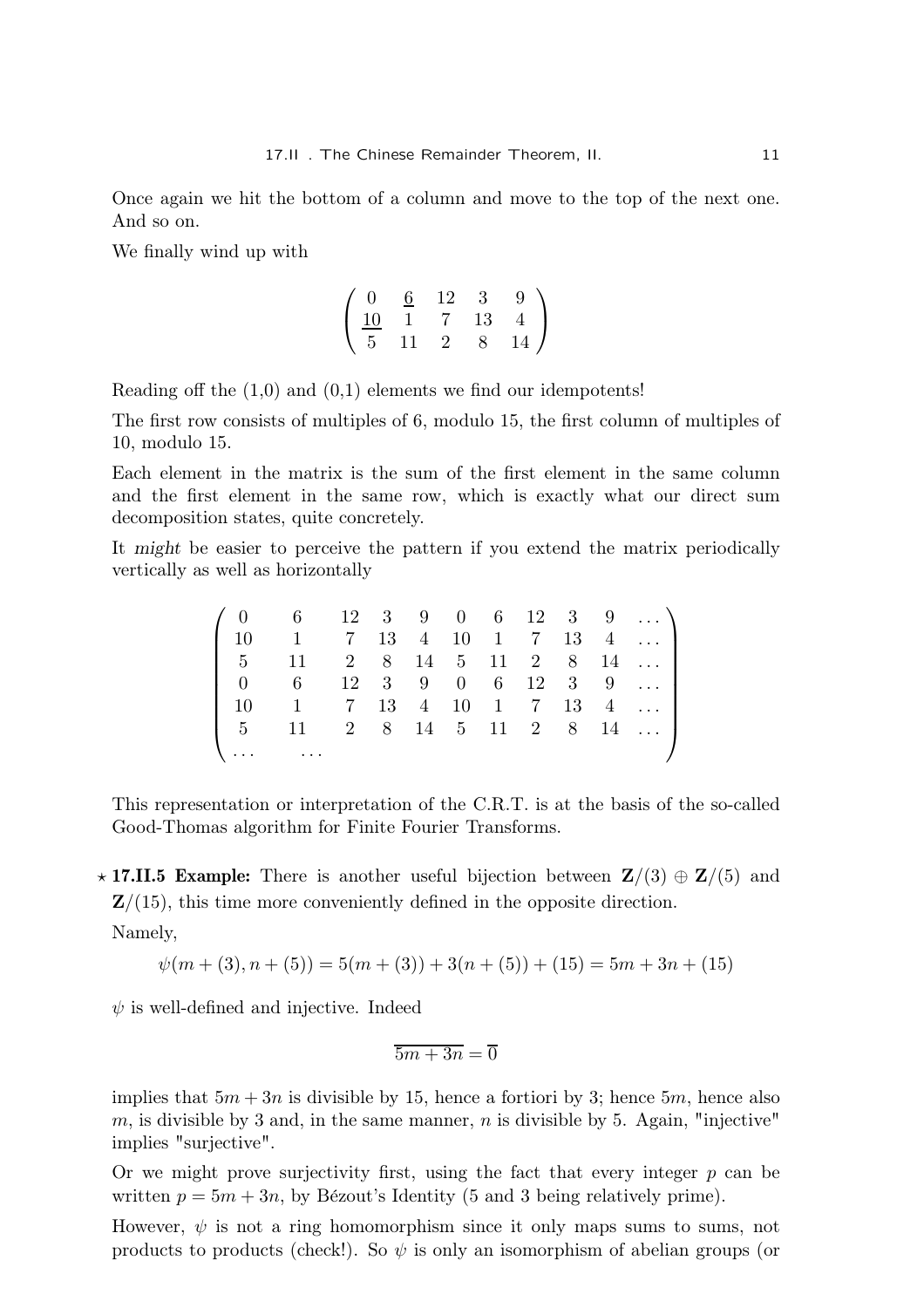Once again we hit the bottom of a column and move to the top of the next one. And so on.

We finally wind up with

$$
\left(\begin{array}{cccc}\n0 & \frac{6}{12} & 12 & 3 & 9 \\
\frac{10}{5} & 11 & 7 & 13 & 4 \\
11 & 2 & 8 & 14\n\end{array}\right)
$$

Reading off the  $(1,0)$  and  $(0,1)$  elements we find our idempotents!

The first row consists of multiples of 6, modulo 15, the first column of multiples of 10, modulo 15.

Each element in the matrix is the sum of the first element in the same column and the first element in the same row, which is exactly what our direct sum decomposition states, quite concretely.

It might be easier to perceive the pattern if you extend the matrix periodically vertically as well as horizontally

|  | $(0 \t 6 \t 12 \t 3 \t 9 \t 0 \t 6 \t 12 \t 3 \t 9 \t )$                          |  |  |  |  |  |
|--|-----------------------------------------------------------------------------------|--|--|--|--|--|
|  | $\begin{bmatrix} 10 & 1 & 7 & 13 & 4 & 10 & 1 & 7 & 13 & 4 & \dots \end{bmatrix}$ |  |  |  |  |  |
|  | $\begin{bmatrix} 5 & 11 & 2 & 8 & 14 & 5 & 11 & 2 & 8 & 14 & \dots \end{bmatrix}$ |  |  |  |  |  |
|  | $\begin{bmatrix} 0 & 6 & 12 & 3 & 9 & 0 & 6 & 12 & 3 & 9 & \dots \end{bmatrix}$   |  |  |  |  |  |
|  | 10   1   7   13   4   10   1   7   13   4                                         |  |  |  |  |  |
|  | $\begin{bmatrix} 5 & 11 & 2 & 8 & 14 & 5 & 11 & 2 & 8 & 14 & \dots \end{bmatrix}$ |  |  |  |  |  |
|  | $\bigcup \cdots \bigcup \cdots$                                                   |  |  |  |  |  |

This representation or interpretation of the C.R.T. is at the basis of the so-called Good-Thomas algorithm for Finite Fourier Transforms.

**★17.II.5 Example:** There is another useful bijection between  $\mathbf{Z}/(3) \oplus \mathbf{Z}/(5)$  and  $\mathbf{Z}/(15)$ , this time more conveniently defined in the opposite direction. Namely,

$$
\psi(m + (3), n + (5)) = 5(m + (3)) + 3(n + (5)) + (15) = 5m + 3n + (15)
$$

 $\psi$  is well-defined and injective. Indeed

$$
\overline{5m+3n}=\overline{0}
$$

implies that  $5m + 3n$  is divisible by 15, hence a fortiori by 3; hence 5m, hence also m, is divisible by 3 and, in the same manner,  $n$  is divisible by 5. Again, "injective" implies "surjective".

Or we might prove surjectivity first, using the fact that every integer  $p$  can be written  $p = 5m + 3n$ , by Bézout's Identity (5 and 3 being relatively prime).

However,  $\psi$  is not a ring homomorphism since it only maps sums to sums, not products to products (check!). So  $\psi$  is only an isomorphism of abelian groups (or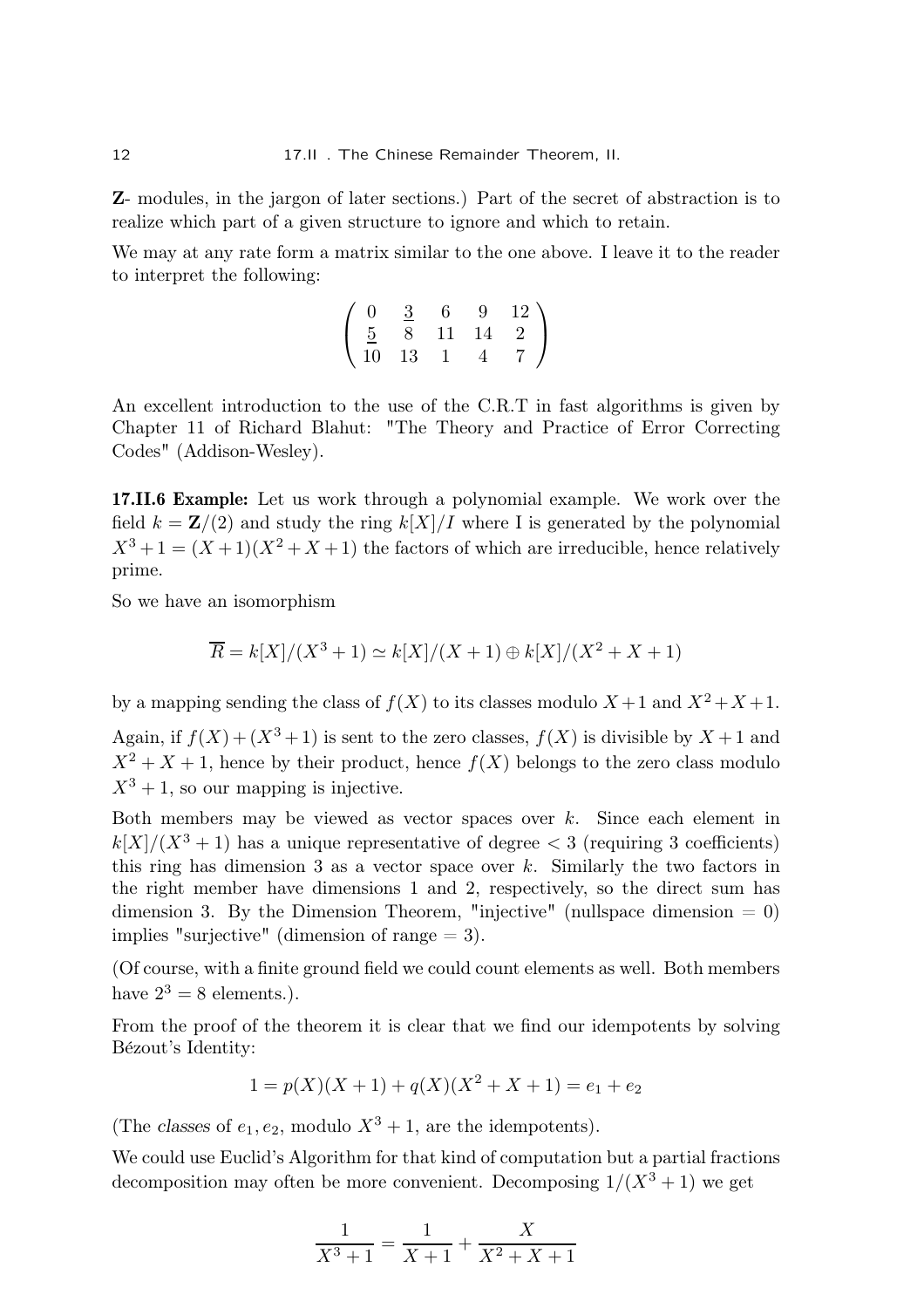Z- modules, in the jargon of later sections.) Part of the secret of abstraction is to realize which part of a given structure to ignore and which to retain.

We may at any rate form a matrix similar to the one above. I leave it to the reader to interpret the following:

$$
\left(\begin{array}{cccc} 0 & \frac{3}{2} & 6 & 9 & 12 \\ \frac{5}{10} & 8 & 11 & 14 & 2 \\ 10 & 13 & 1 & 4 & 7 \end{array}\right)
$$

An excellent introduction to the use of the C.R.T in fast algorithms is given by Chapter 11 of Richard Blahut: "The Theory and Practice of Error Correcting Codes" (Addison-Wesley).

17.II.6 Example: Let us work through a polynomial example. We work over the field  $k = \mathbf{Z}/(2)$  and study the ring  $k[X]/I$  where I is generated by the polynomial  $X^3 + 1 = (X + 1)(X^2 + X + 1)$  the factors of which are irreducible, hence relatively prime.

So we have an isomorphism

$$
\overline{R} = k[X]/(X^3 + 1) \simeq k[X]/(X + 1) \oplus k[X]/(X^2 + X + 1)
$$

by a mapping sending the class of  $f(X)$  to its classes modulo  $X + 1$  and  $X^2 + X + 1$ .

Again, if  $f(X) + (X^3 + 1)$  is sent to the zero classes,  $f(X)$  is divisible by  $X + 1$  and  $X^2 + X + 1$ , hence by their product, hence  $f(X)$  belongs to the zero class modulo  $X^3 + 1$ , so our mapping is injective.

Both members may be viewed as vector spaces over  $k$ . Since each element in  $k[X]/(X^3 + 1)$  has a unique representative of degree  $\lt 3$  (requiring 3 coefficients) this ring has dimension 3 as a vector space over  $k$ . Similarly the two factors in the right member have dimensions 1 and 2, respectively, so the direct sum has dimension 3. By the Dimension Theorem, "injective" (nullspace dimension  $= 0$ ) implies "surjective" (dimension of range  $= 3$ ).

(Of course, with a finite ground field we could count elements as well. Both members have  $2^3 = 8$  elements.).

From the proof of the theorem it is clear that we find our idempotents by solving Bézout's Identity:

$$
1 = p(X)(X+1) + q(X)(X2 + X + 1) = e1 + e2
$$

(The classes of  $e_1, e_2$ , modulo  $X^3 + 1$ , are the idempotents).

We could use Euclid's Algorithm for that kind of computation but a partial fractions decomposition may often be more convenient. Decomposing  $1/(X^3 + 1)$  we get

$$
\frac{1}{X^3 + 1} = \frac{1}{X + 1} + \frac{X}{X^2 + X + 1}
$$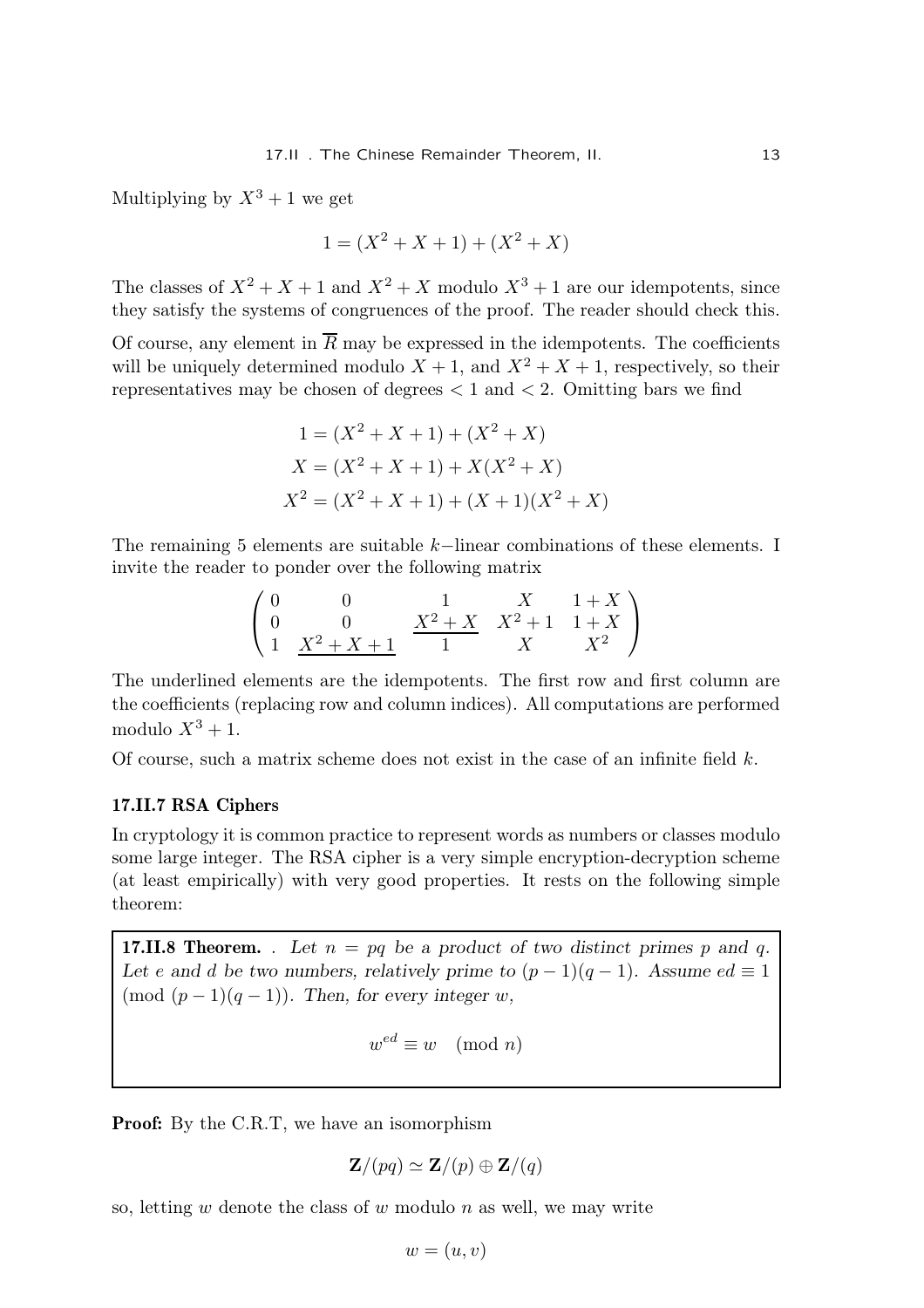Multiplying by  $X^3 + 1$  we get

$$
1 = (X^2 + X + 1) + (X^2 + X)
$$

The classes of  $X^2 + X + 1$  and  $X^2 + X$  modulo  $X^3 + 1$  are our idempotents, since they satisfy the systems of congruences of the proof. The reader should check this.

Of course, any element in  $R$  may be expressed in the idempotents. The coefficients will be uniquely determined modulo  $X + 1$ , and  $X^2 + X + 1$ , respectively, so their representatives may be chosen of degrees  $< 1$  and  $< 2$ . Omitting bars we find

$$
1 = (X2 + X + 1) + (X2 + X)
$$
  
\n
$$
X = (X2 + X + 1) + X(X2 + X)
$$
  
\n
$$
X2 = (X2 + X + 1) + (X + 1)(X2 + X)
$$

The remaining 5 elements are suitable k−linear combinations of these elements. I invite the reader to ponder over the following matrix

$$
\begin{pmatrix}\n0 & 0 & 1 & X & 1+X \\
0 & 0 & X^2+X & X^2+1 & 1+X \\
1 & X^2+X+1 & 1 & X & X^2\n\end{pmatrix}
$$

The underlined elements are the idempotents. The first row and first column are the coefficients (replacing row and column indices). All computations are performed modulo  $X^3 + 1$ .

Of course, such a matrix scheme does not exist in the case of an infinite field  $k$ .

### 17.II.7 RSA Ciphers

In cryptology it is common practice to represent words as numbers or classes modulo some large integer. The RSA cipher is a very simple encryption-decryption scheme (at least empirically) with very good properties. It rests on the following simple theorem:

**17.II.8 Theorem.** . Let  $n = pq$  be a product of two distinct primes p and q. Let e and d be two numbers, relatively prime to  $(p-1)(q-1)$ . Assume  $ed \equiv 1$ (mod  $(p-1)(q-1)$ ). Then, for every integer w,

 $w^{ed} \equiv w \pmod{n}$ 

**Proof:** By the C.R.T, we have an isomorphism

$$
\mathbf{Z}/(pq) \simeq \mathbf{Z}/(p) \oplus \mathbf{Z}/(q)
$$

so, letting  $w$  denote the class of  $w$  modulo  $n$  as well, we may write

 $w = (u, v)$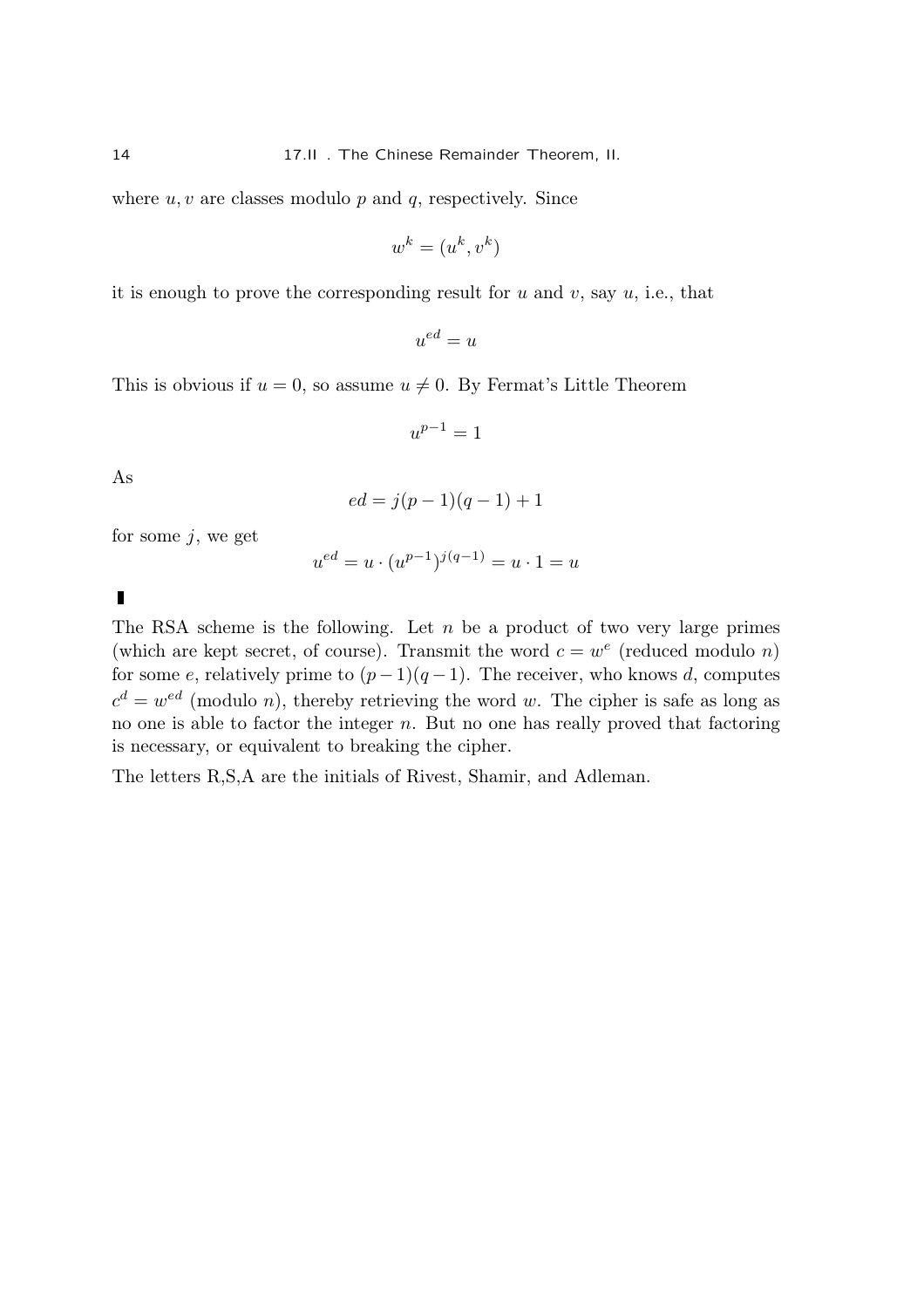where  $u, v$  are classes modulo  $p$  and  $q$ , respectively. Since

$$
w^k = (u^k, v^k)
$$

it is enough to prove the corresponding result for  $u$  and  $v$ , say  $u$ , i.e., that

 $u^{ed} = u$ 

This is obvious if  $u = 0$ , so assume  $u \neq 0$ . By Fermat's Little Theorem

 $u^{p-1} = 1$ 

As

$$
ed = j(p-1)(q-1) + 1
$$

for some  $j$ , we get

$$
u^{ed} = u \cdot (u^{p-1})^{j(q-1)} = u \cdot 1 = u
$$

 $\blacksquare$ 

The RSA scheme is the following. Let  $n$  be a product of two very large primes (which are kept secret, of course). Transmit the word  $c = w^e$  (reduced modulo n) for some e, relatively prime to  $(p-1)(q-1)$ . The receiver, who knows d, computes  $c^d = w^{ed}$  (modulo n), thereby retrieving the word w. The cipher is safe as long as no one is able to factor the integer  $n$ . But no one has really proved that factoring is necessary, or equivalent to breaking the cipher.

The letters R,S,A are the initials of Rivest, Shamir, and Adleman.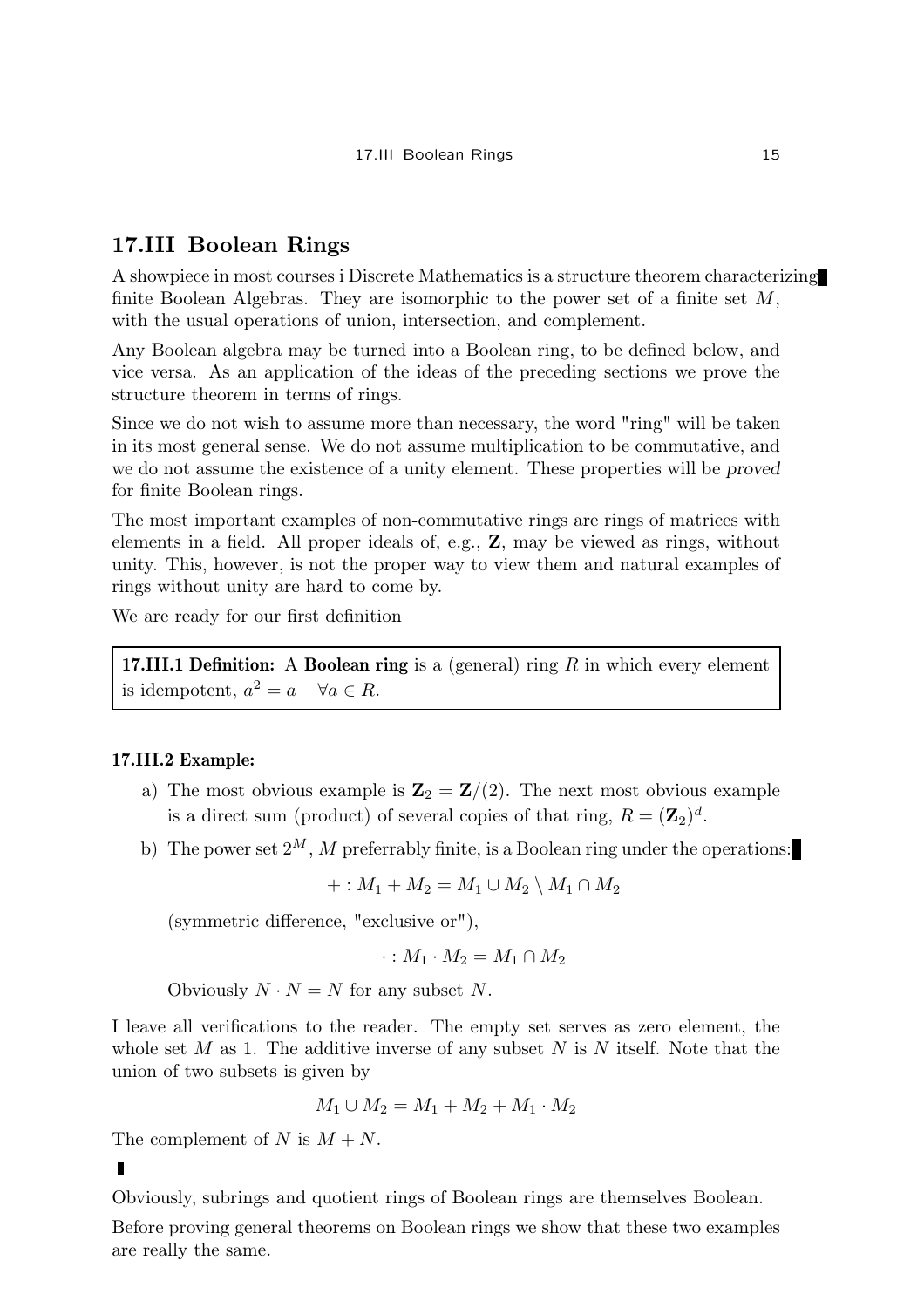# 17.III Boolean Rings

A showpiece in most courses i Discrete Mathematics is a structure theorem characterizing finite Boolean Algebras. They are isomorphic to the power set of a finite set M, with the usual operations of union, intersection, and complement.

Any Boolean algebra may be turned into a Boolean ring, to be defined below, and vice versa. As an application of the ideas of the preceding sections we prove the structure theorem in terms of rings.

Since we do not wish to assume more than necessary, the word "ring" will be taken in its most general sense. We do not assume multiplication to be commutative, and we do not assume the existence of a unity element. These properties will be proved for finite Boolean rings.

The most important examples of non-commutative rings are rings of matrices with elements in a field. All proper ideals of, e.g., Z, may be viewed as rings, without unity. This, however, is not the proper way to view them and natural examples of rings without unity are hard to come by.

We are ready for our first definition

17.III.1 Definition: A Boolean ring is a (general) ring  $R$  in which every element is idempotent,  $a^2 = a \quad \forall a \in R$ .

# 17.III.2 Example:

- a) The most obvious example is  $\mathbf{Z}_2 = \mathbf{Z}/(2)$ . The next most obvious example is a direct sum (product) of several copies of that ring,  $R = (\mathbf{Z}_2)^d$ .
- b) The power set  $2^M$ , M preferrably finite, is a Boolean ring under the operations:

$$
+: M_1 + M_2 = M_1 \cup M_2 \setminus M_1 \cap M_2
$$

(symmetric difference, "exclusive or"),

$$
\cdot: M_1 \cdot M_2 = M_1 \cap M_2
$$

Obviously  $N \cdot N = N$  for any subset N.

I leave all verifications to the reader. The empty set serves as zero element, the whole set M as 1. The additive inverse of any subset N is N itself. Note that the union of two subsets is given by

$$
M_1 \cup M_2 = M_1 + M_2 + M_1 \cdot M_2
$$

The complement of N is  $M + N$ .

Obviously, subrings and quotient rings of Boolean rings are themselves Boolean.

Before proving general theorems on Boolean rings we show that these two examples are really the same.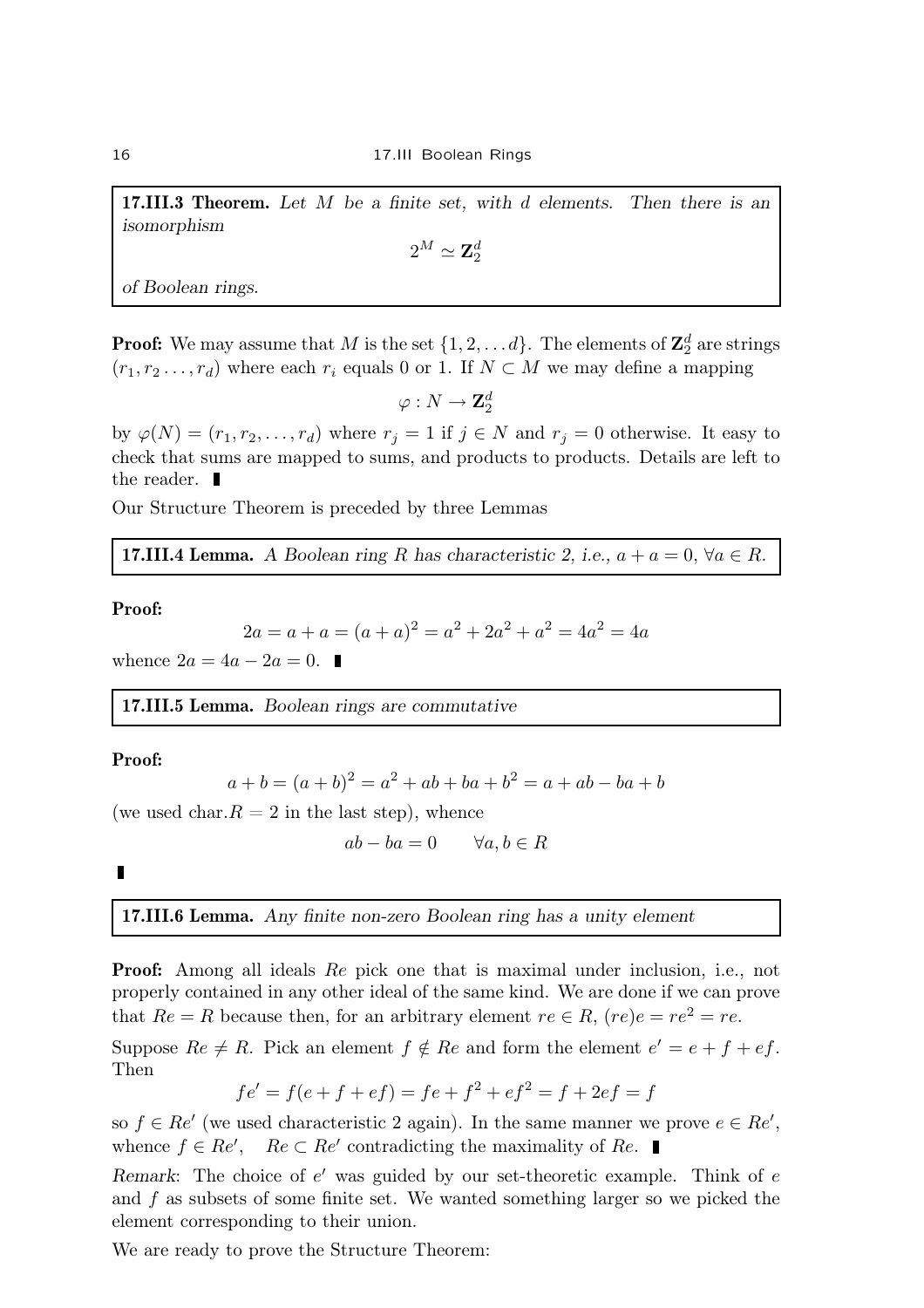**17.III.3 Theorem.** Let  $M$  be a finite set, with  $d$  elements. Then there is an isomorphism

 $2^M\simeq {\bf Z}_2^d$ 

of Boolean rings.

**Proof:** We may assume that  $M$  is the set  $\{1, 2, \ldots d\}$ . The elements of  $\mathbf{Z}_2^d$  are strings  $(r_1, r_2, \ldots, r_d)$  where each  $r_i$  equals 0 or 1. If  $N \subset M$  we may define a mapping

 $\varphi: N \rightarrow {\bf Z}_2^d$ 

by  $\varphi(N) = (r_1, r_2, \ldots, r_d)$  where  $r_j = 1$  if  $j \in N$  and  $r_j = 0$  otherwise. It easy to check that sums are mapped to sums, and products to products. Details are left to the reader.  $\blacksquare$ 

Our Structure Theorem is preceded by three Lemmas

**17.III.4 Lemma.** A Boolean ring R has characteristic 2, i.e.,  $a + a = 0$ ,  $\forall a \in R$ .

### Proof:

$$
2a = a + a = (a + a)^2 = a^2 + 2a^2 + a^2 = 4a^2 = 4a
$$

whence  $2a = 4a - 2a = 0$ .

17.III.5 Lemma. Boolean rings are commutative

# Proof:

$$
a + b = (a + b)^2 = a^2 + ab + ba + b^2 = a + ab - ba + b
$$

(we used char.  $R = 2$  in the last step), whence

$$
ab - ba = 0 \qquad \forall a, b \in R
$$

 $\blacksquare$ 

17.III.6 Lemma. Any finite non-zero Boolean ring has a unity element

Proof: Among all ideals Re pick one that is maximal under inclusion, i.e., not properly contained in any other ideal of the same kind. We are done if we can prove that  $Re = R$  because then, for an arbitrary element  $re \in R$ ,  $(re)e = re^2 = re$ .

Suppose  $Re \neq R$ . Pick an element  $f \notin Re$  and form the element  $e' = e + f + ef$ . Then

$$
fe' = f(e + f + ef) = fe + f2 + ef2 = f + 2ef = f
$$

so  $f \in \text{Re}'$  (we used characteristic 2 again). In the same manner we prove  $e \in \text{Re}'$ , whence  $f \in \text{Re}'$ ,  $\text{Re} \subset \text{Re}'$  contradicting the maximality of  $\text{Re}$ .

Remark: The choice of  $e'$  was guided by our set-theoretic example. Think of  $e$ and f as subsets of some finite set. We wanted something larger so we picked the element corresponding to their union.

We are ready to prove the Structure Theorem: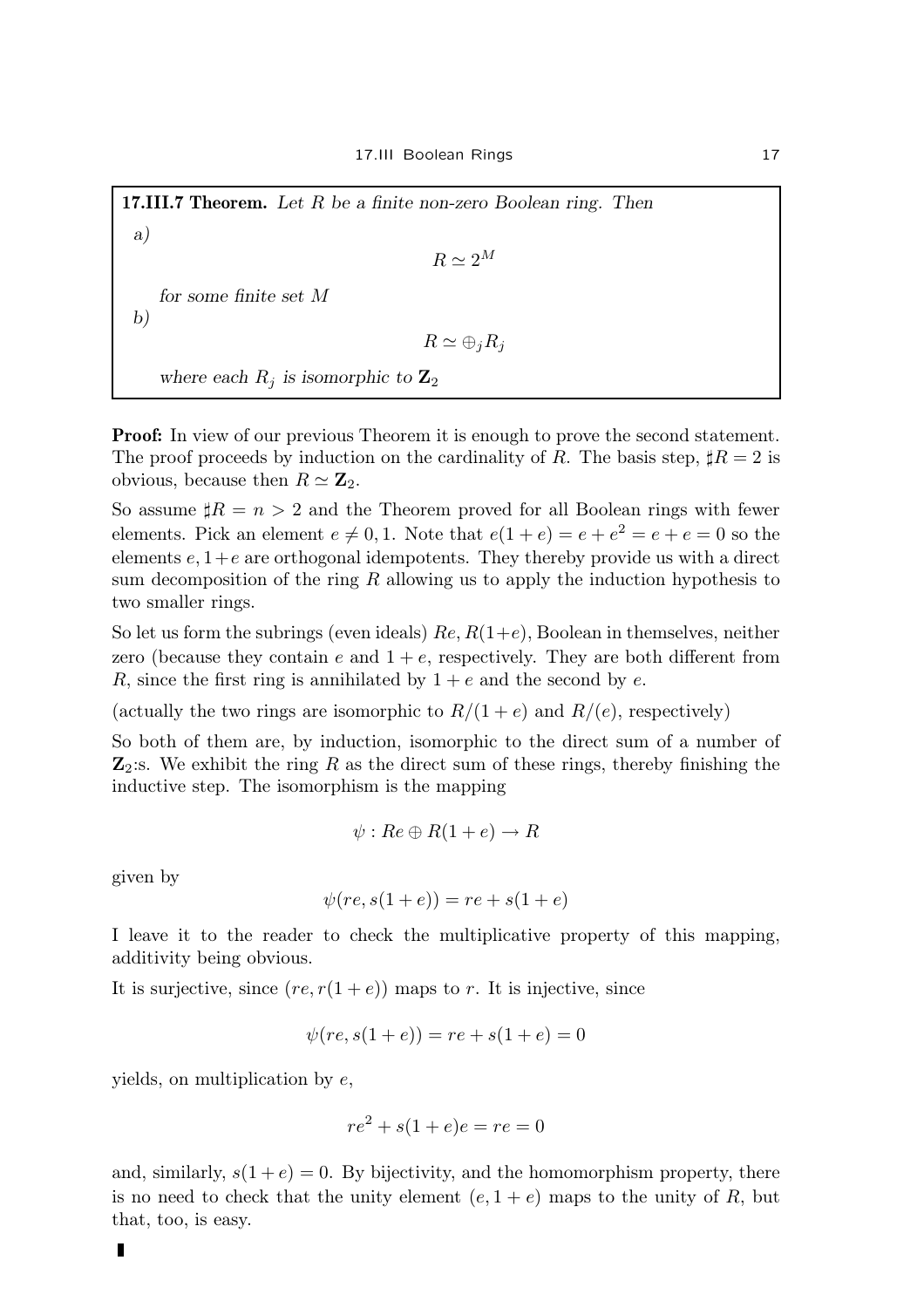**17.III.7 Theorem.** Let  $R$  be a finite non-zero Boolean ring. Then  $R \simeq 2^M$ for some finite set M

$$
R\simeq \oplus_j R_j
$$

where each  $R_i$  is isomorphic to  $\mathbf{Z}_2$ 

**Proof:** In view of our previous Theorem it is enough to prove the second statement. The proof proceeds by induction on the cardinality of R. The basis step,  $\sharp R = 2$  is obvious, because then  $R \simeq \mathbf{Z}_2$ .

So assume  $\sharp R = n > 2$  and the Theorem proved for all Boolean rings with fewer elements. Pick an element  $e \neq 0, 1$ . Note that  $e(1 + e) = e + e^2 = e + e = 0$  so the elements  $e, 1+e$  are orthogonal idempotents. They thereby provide us with a direct sum decomposition of the ring  $R$  allowing us to apply the induction hypothesis to two smaller rings.

So let us form the subrings (even ideals)  $Re, R(1+e)$ , Boolean in themselves, neither zero (because they contain e and  $1 + e$ , respectively. They are both different from R, since the first ring is annihilated by  $1 + e$  and the second by e.

(actually the two rings are isomorphic to  $R/(1+e)$  and  $R/(e)$ , respectively)

So both of them are, by induction, isomorphic to the direct sum of a number of  $\mathbb{Z}_2$ :s. We exhibit the ring R as the direct sum of these rings, thereby finishing the inductive step. The isomorphism is the mapping

$$
\psi: Re \oplus R(1+e) \to R
$$

given by

a)

b)

$$
\psi(re, s(1+e)) = re + s(1+e)
$$

I leave it to the reader to check the multiplicative property of this mapping, additivity being obvious.

It is surjective, since  $(re, r(1+e))$  maps to r. It is injective, since

$$
\psi(re, s(1+e)) = re + s(1+e) = 0
$$

yields, on multiplication by  $e$ ,

$$
re^2 + s(1+e)e = re = 0
$$

and, similarly,  $s(1+e) = 0$ . By bijectivity, and the homomorphism property, there is no need to check that the unity element  $(e, 1 + e)$  maps to the unity of R, but that, too, is easy.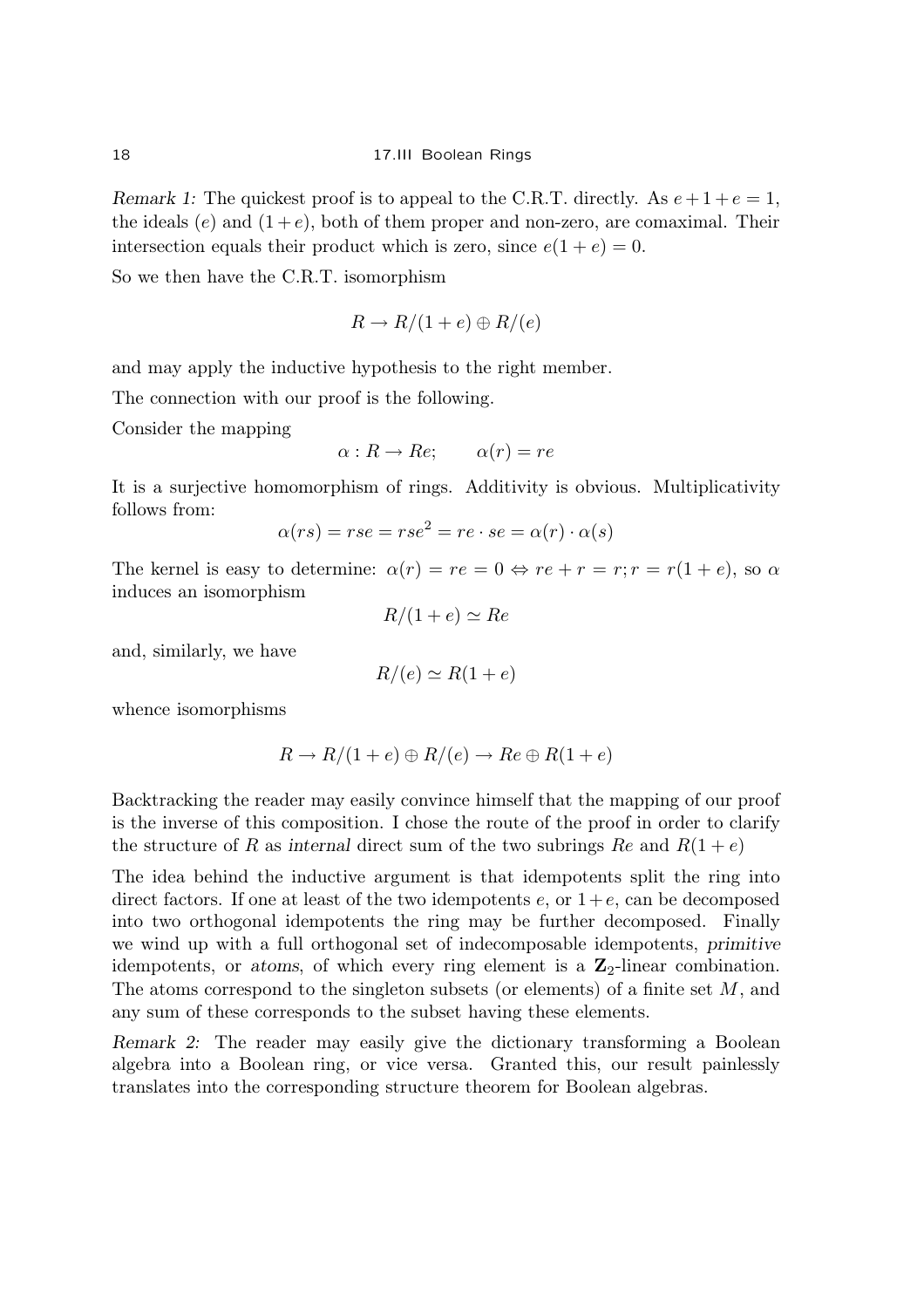Remark 1: The quickest proof is to appeal to the C.R.T. directly. As  $e + 1 + e = 1$ , the ideals  $(e)$  and  $(1+e)$ , both of them proper and non-zero, are comaximal. Their intersection equals their product which is zero, since  $e(1+e) = 0$ .

So we then have the C.R.T. isomorphism

$$
R \to R/(1+e) \oplus R/(e)
$$

and may apply the inductive hypothesis to the right member.

The connection with our proof is the following.

Consider the mapping

$$
\alpha: R \to Re; \qquad \alpha(r) = re
$$

It is a surjective homomorphism of rings. Additivity is obvious. Multiplicativity follows from:

$$
\alpha(rs) = rse = rse^2 = re \cdot se = \alpha(r) \cdot \alpha(s)
$$

The kernel is easy to determine:  $\alpha(r) = re = 0 \Leftrightarrow re + r = r; r = r(1 + e)$ , so  $\alpha$ induces an isomorphism

$$
R/(1+e) \simeq Re
$$

and, similarly, we have

$$
R/(e) \simeq R(1+e)
$$

whence isomorphisms

$$
R \to R/(1+e) \oplus R/(e) \to Re \oplus R(1+e)
$$

Backtracking the reader may easily convince himself that the mapping of our proof is the inverse of this composition. I chose the route of the proof in order to clarify the structure of R as internal direct sum of the two subrings Re and  $R(1+e)$ 

The idea behind the inductive argument is that idempotents split the ring into direct factors. If one at least of the two idempotents  $e$ , or  $1+e$ , can be decomposed into two orthogonal idempotents the ring may be further decomposed. Finally we wind up with a full orthogonal set of indecomposable idempotents, primitive idempotents, or atoms, of which every ring element is a  $\mathbb{Z}_2$ -linear combination. The atoms correspond to the singleton subsets (or elements) of a finite set M, and any sum of these corresponds to the subset having these elements.

Remark 2: The reader may easily give the dictionary transforming a Boolean algebra into a Boolean ring, or vice versa. Granted this, our result painlessly translates into the corresponding structure theorem for Boolean algebras.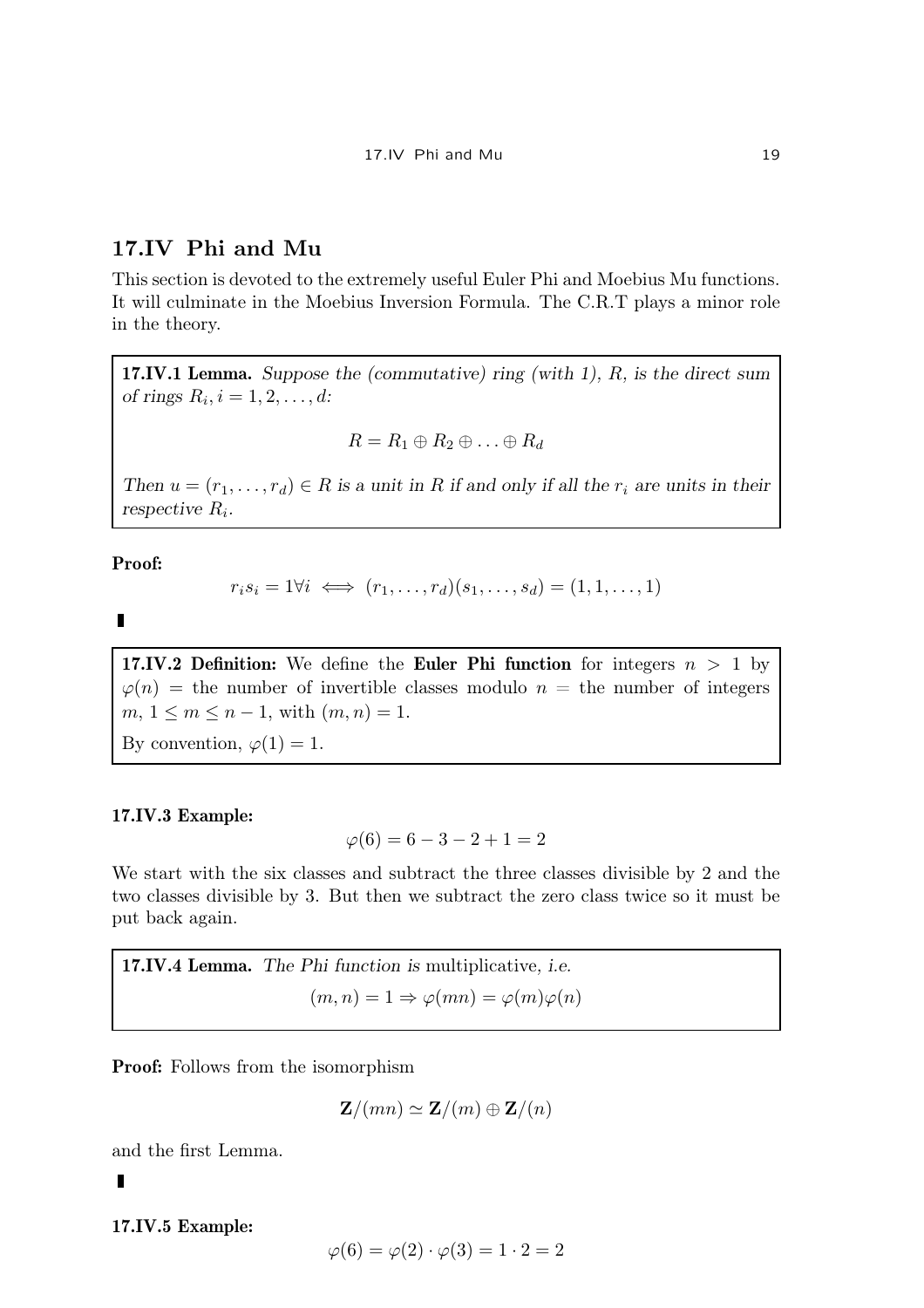# 17.IV Phi and Mu

This section is devoted to the extremely useful Euler Phi and Moebius Mu functions. It will culminate in the Moebius Inversion Formula. The C.R.T plays a minor role in the theory.

17.IV.1 Lemma. Suppose the (commutative) ring (with 1), R, is the direct sum of rings  $R_i$ ,  $i = 1, 2, \ldots, d$ :

$$
R = R_1 \oplus R_2 \oplus \ldots \oplus R_d
$$

Then  $u = (r_1, \ldots, r_d) \in R$  is a unit in R if and only if all the  $r_i$  are units in their respective  $R_i$ .

Proof:

$$
r_i s_i = 1 \forall i \iff (r_1, \dots, r_d)(s_1, \dots, s_d) = (1, 1, \dots, 1)
$$

 $\blacksquare$ 

17.IV.2 Definition: We define the Euler Phi function for integers  $n > 1$  by  $\varphi(n)$  = the number of invertible classes modulo  $n =$  the number of integers  $m, 1 \le m \le n - 1$ , with  $(m, n) = 1$ .

By convention,  $\varphi(1) = 1$ .

# 17.IV.3 Example:

$$
\varphi(6) = 6 - 3 - 2 + 1 = 2
$$

We start with the six classes and subtract the three classes divisible by 2 and the two classes divisible by 3. But then we subtract the zero class twice so it must be put back again.

17.IV.4 Lemma. The Phi function is multiplicative, i.e.  $(m, n) = 1 \Rightarrow \varphi(mn) = \varphi(m)\varphi(n)$ 

Proof: Follows from the isomorphism

$$
\mathbf{Z}/(mn) \simeq \mathbf{Z}/(m) \oplus \mathbf{Z}/(n)
$$

and the first Lemma.

 $\blacksquare$ 

17.IV.5 Example:

$$
\varphi(6) = \varphi(2) \cdot \varphi(3) = 1 \cdot 2 = 2
$$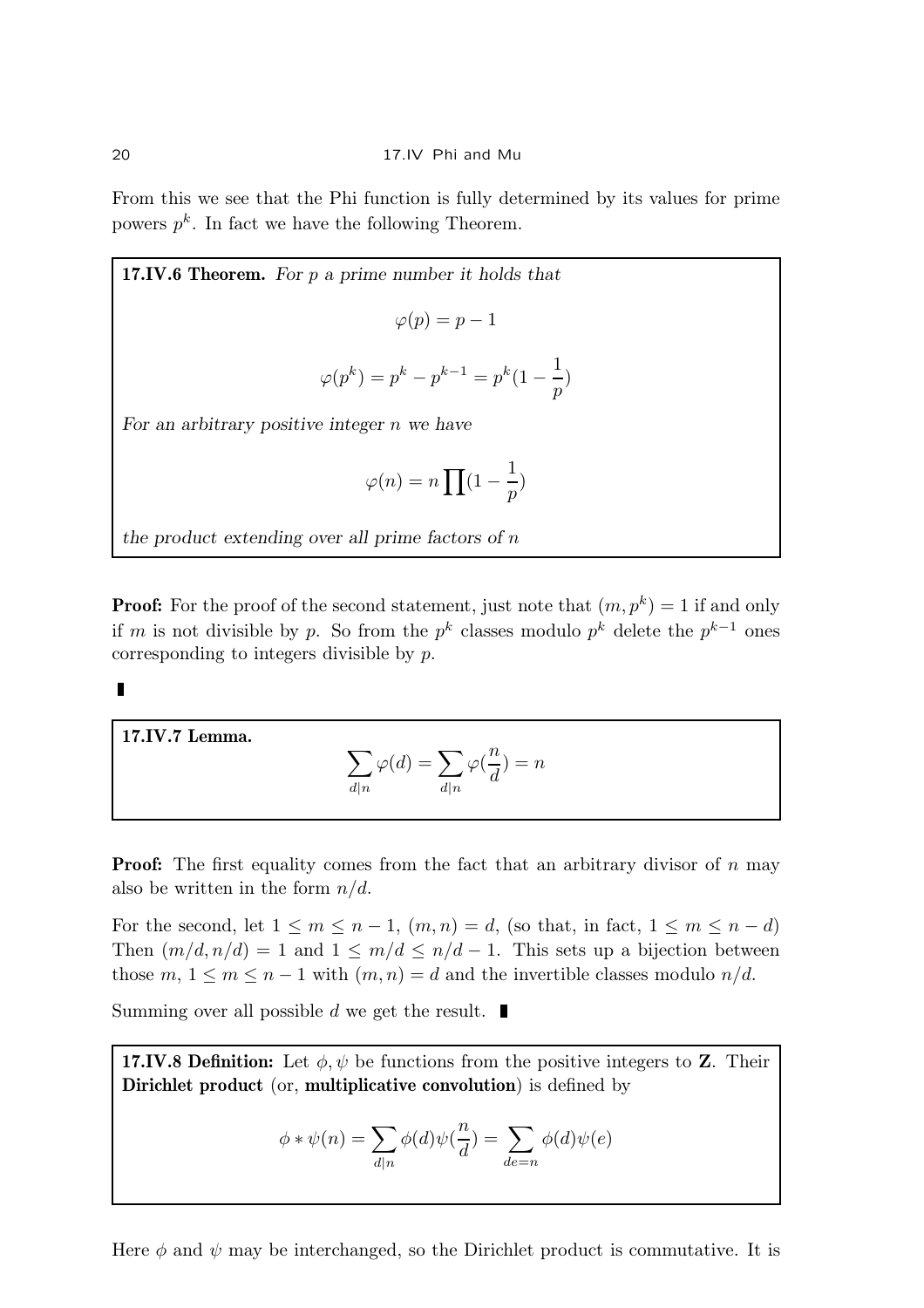From this we see that the Phi function is fully determined by its values for prime powers  $p^k$ . In fact we have the following Theorem.

17.IV.6 Theorem. For 
$$
p
$$
 a prime number it holds that  
\n
$$
\varphi(p) = p - 1
$$
\n
$$
\varphi(p^k) = p^k - p^{k-1} = p^k(1 - \frac{1}{p})
$$
\nFor an arbitrary positive integer  $n$  we have

$$
\varphi(n) = n \prod (1 - \frac{1}{p})
$$

the product extending over all prime factors of  $n$ 

**Proof:** For the proof of the second statement, just note that  $(m, p^k) = 1$  if and only if m is not divisible by p. So from the  $p^k$  classes modulo  $p^k$  delete the  $p^{k-1}$  ones corresponding to integers divisible by p.

17.IV.7 Lemma.

$$
\sum_{d|n} \varphi(d) = \sum_{d|n} \varphi(\frac{n}{d}) = n
$$

**Proof:** The first equality comes from the fact that an arbitrary divisor of  $n$  may also be written in the form  $n/d$ .

For the second, let  $1 \leq m \leq n-1$ ,  $(m, n) = d$ , (so that, in fact,  $1 \leq m \leq n-d$ ) Then  $(m/d, n/d) = 1$  and  $1 \le m/d \le n/d - 1$ . This sets up a bijection between those  $m, 1 \leq m \leq n-1$  with  $(m, n) = d$  and the invertible classes modulo  $n/d$ .

Summing over all possible d we get the result.  $\blacksquare$ 

17.IV.8 Definition: Let  $\phi, \psi$  be functions from the positive integers to Z. Their Dirichlet product (or, multiplicative convolution) is defined by

$$
\phi * \psi(n) = \sum_{d|n} \phi(d)\psi(\frac{n}{d}) = \sum_{de=n} \phi(d)\psi(e)
$$

Here  $\phi$  and  $\psi$  may be interchanged, so the Dirichlet product is commutative. It is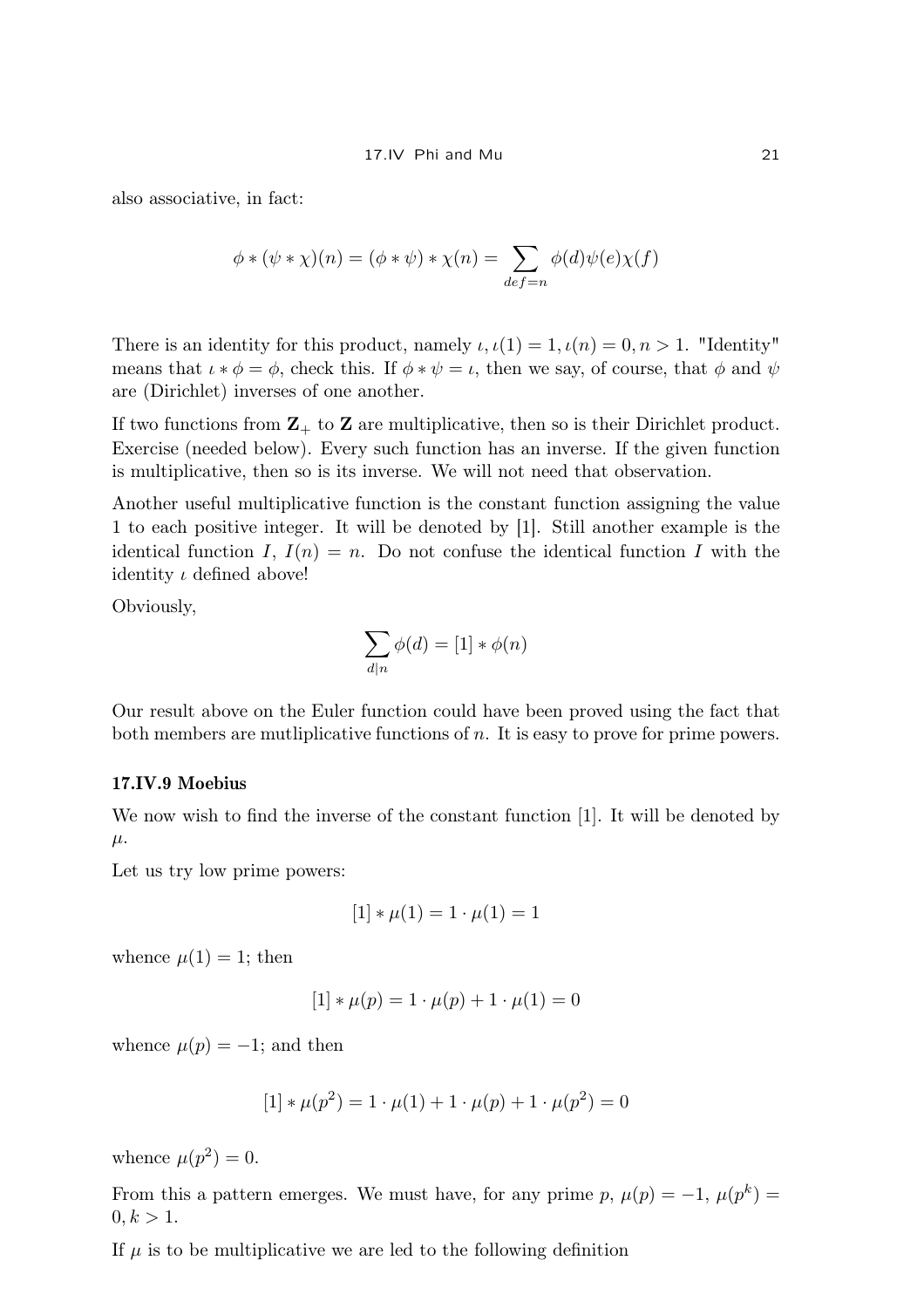also associative, in fact:

$$
\phi * (\psi * \chi)(n) = (\phi * \psi) * \chi(n) = \sum_{def=n} \phi(d)\psi(e)\chi(f)
$$

There is an identity for this product, namely  $\iota, \iota(1) = 1, \iota(n) = 0, n > 1$ . "Identity" means that  $\iota * \phi = \phi$ , check this. If  $\phi * \psi = \iota$ , then we say, of course, that  $\phi$  and  $\psi$ are (Dirichlet) inverses of one another.

If two functions from  $\mathbb{Z}_+$  to  $\mathbb Z$  are multiplicative, then so is their Dirichlet product. Exercise (needed below). Every such function has an inverse. If the given function is multiplicative, then so is its inverse. We will not need that observation.

Another useful multiplicative function is the constant function assigning the value 1 to each positive integer. It will be denoted by [1]. Still another example is the identical function I,  $I(n) = n$ . Do not confuse the identical function I with the identity  $\iota$  defined above!

Obviously,

$$
\sum_{d|n} \phi(d) = [1] * \phi(n)
$$

Our result above on the Euler function could have been proved using the fact that both members are mutliplicative functions of  $n$ . It is easy to prove for prime powers.

### 17.IV.9 Moebius

We now wish to find the inverse of the constant function [1]. It will be denoted by  $\mu$ .

Let us try low prime powers:

$$
[1] * \mu(1) = 1 \cdot \mu(1) = 1
$$

whence  $\mu(1) = 1$ ; then

$$
[1] * \mu(p) = 1 \cdot \mu(p) + 1 \cdot \mu(1) = 0
$$

whence  $\mu(p) = -1$ ; and then

$$
[1] * \mu(p^2) = 1 \cdot \mu(1) + 1 \cdot \mu(p) + 1 \cdot \mu(p^2) = 0
$$

whence  $\mu(p^2) = 0$ .

From this a pattern emerges. We must have, for any prime p,  $\mu(p) = -1$ ,  $\mu(p^k) =$  $0, k > 1.$ 

If  $\mu$  is to be multiplicative we are led to the following definition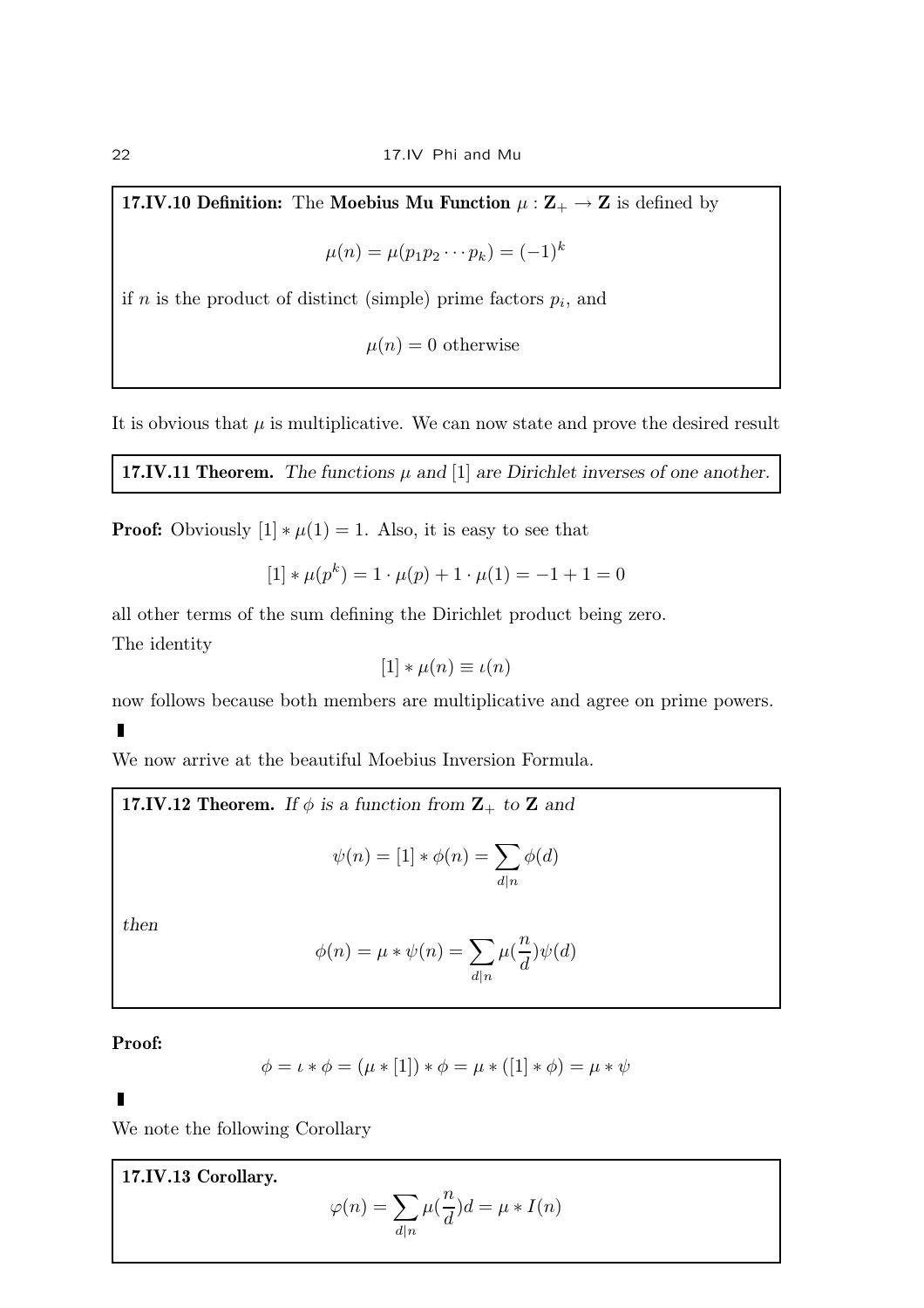17.IV.10 Definition: The Moebius Mu Function  $\mu : \mathbb{Z}_+ \to \mathbb{Z}$  is defined by

$$
\mu(n) = \mu(p_1 p_2 \cdots p_k) = (-1)^k
$$

if *n* is the product of distinct (simple) prime factors  $p_i$ , and

 $\mu(n) = 0$  otherwise

It is obvious that  $\mu$  is multiplicative. We can now state and prove the desired result

17.IV.11 Theorem. The functions  $\mu$  and [1] are Dirichlet inverses of one another.

**Proof:** Obviously  $[1] * \mu(1) = 1$ . Also, it is easy to see that

$$
[1] * \mu(p^k) = 1 \cdot \mu(p) + 1 \cdot \mu(1) = -1 + 1 = 0
$$

all other terms of the sum defining the Dirichlet product being zero. The identity

$$
[1] * \mu(n) \equiv \iota(n)
$$

now follows because both members are multiplicative and agree on prime powers.

We now arrive at the beautiful Moebius Inversion Formula.

17.IV.12 Theorem. If  $\phi$  is a function from  $\mathbf{Z}_{+}$  to  $\mathbf{Z}$  and

$$
\psi(n) = [1] * \phi(n) = \sum_{d|n} \phi(d)
$$

then

$$
\phi(n) = \mu * \psi(n) = \sum_{d|n} \mu(\frac{n}{d})\psi(d)
$$

Proof:

$$
\phi = \iota * \phi = (\mu * [1]) * \phi = \mu * ([1] * \phi) = \mu * \psi
$$

We note the following Corollary

17.IV.13 Corollary.

$$
\varphi(n) = \sum_{d|n} \mu(\frac{n}{d})d = \mu * I(n)
$$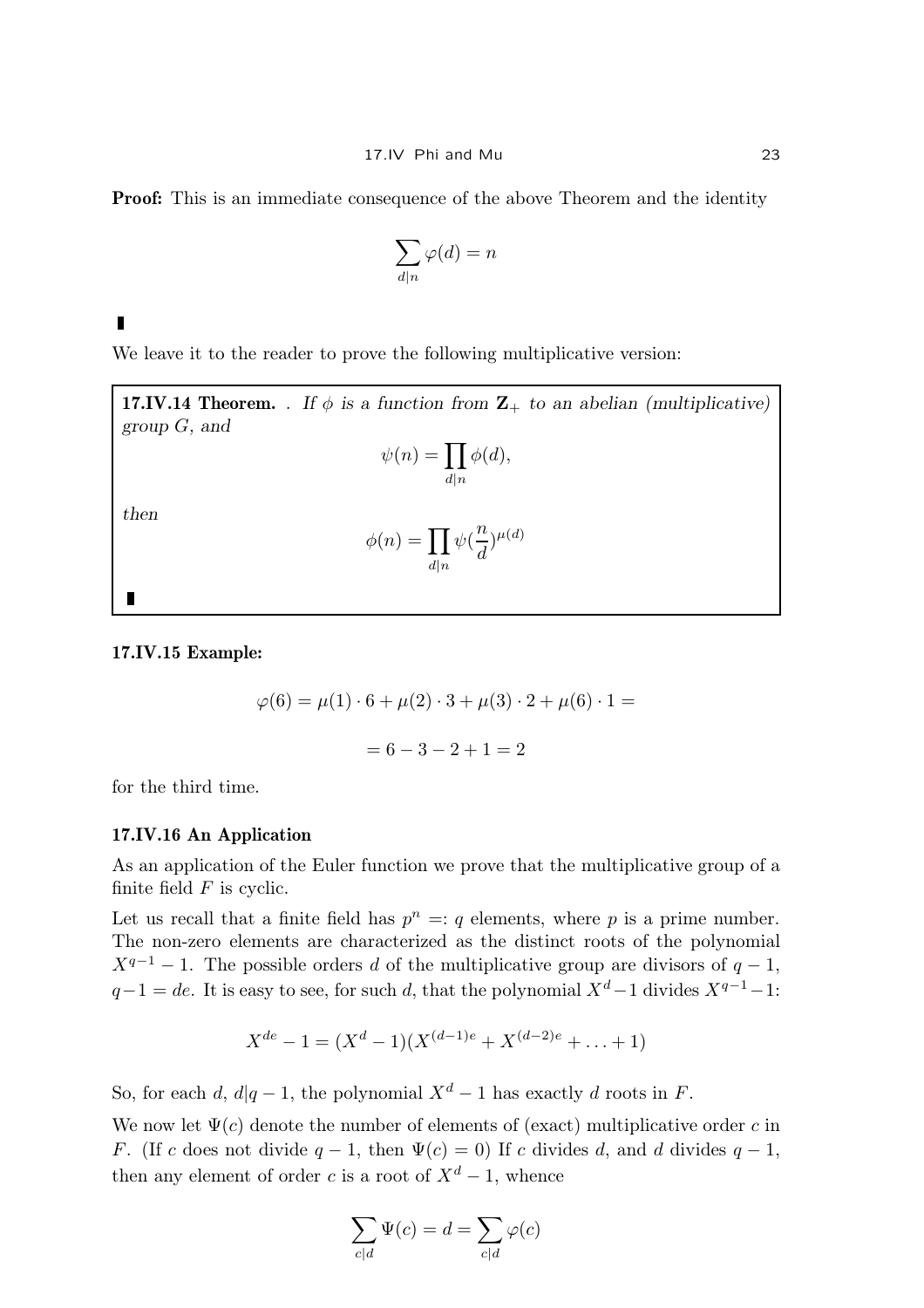**Proof:** This is an immediate consequence of the above Theorem and the identity

$$
\sum_{d|n}\varphi(d)=n
$$

We leave it to the reader to prove the following multiplicative version:

**17.IV.14 Theorem.** . If  $\phi$  is a function from  $\mathbb{Z}_+$  to an abelian (multiplicative) group G, and

$$
\psi(n) = \prod_{d|n} \phi(d),
$$

then

 $\blacksquare$ 

$$
\phi(n) = \prod_{d|n} \psi(\frac{n}{d})^{\mu(d)}
$$

17.IV.15 Example:

$$
\varphi(6) = \mu(1) \cdot 6 + \mu(2) \cdot 3 + \mu(3) \cdot 2 + \mu(6) \cdot 1 =
$$
  
= 6 - 3 - 2 + 1 = 2

for the third time.

### 17.IV.16 An Application

As an application of the Euler function we prove that the multiplicative group of a finite field  $F$  is cyclic.

Let us recall that a finite field has  $p^n =: q$  elements, where p is a prime number. The non-zero elements are characterized as the distinct roots of the polynomial  $X^{q-1} - 1$ . The possible orders d of the multiplicative group are divisors of  $q - 1$ ,  $q-1 = de$ . It is easy to see, for such d, that the polynomial  $X^d-1$  divides  $X^{q-1}-1$ :

$$
X^{de} - 1 = (X^d - 1)(X^{(d-1)e} + X^{(d-2)e} + \ldots + 1)
$$

So, for each d,  $d|q-1$ , the polynomial  $X^d-1$  has exactly d roots in F.

We now let  $\Psi(c)$  denote the number of elements of (exact) multiplicative order c in F. (If c does not divide  $q - 1$ , then  $\Psi(c) = 0$ ) If c divides d, and d divides  $q - 1$ , then any element of order c is a root of  $X^d - 1$ , whence

$$
\sum_{c|d} \Psi(c) = d = \sum_{c|d} \varphi(c)
$$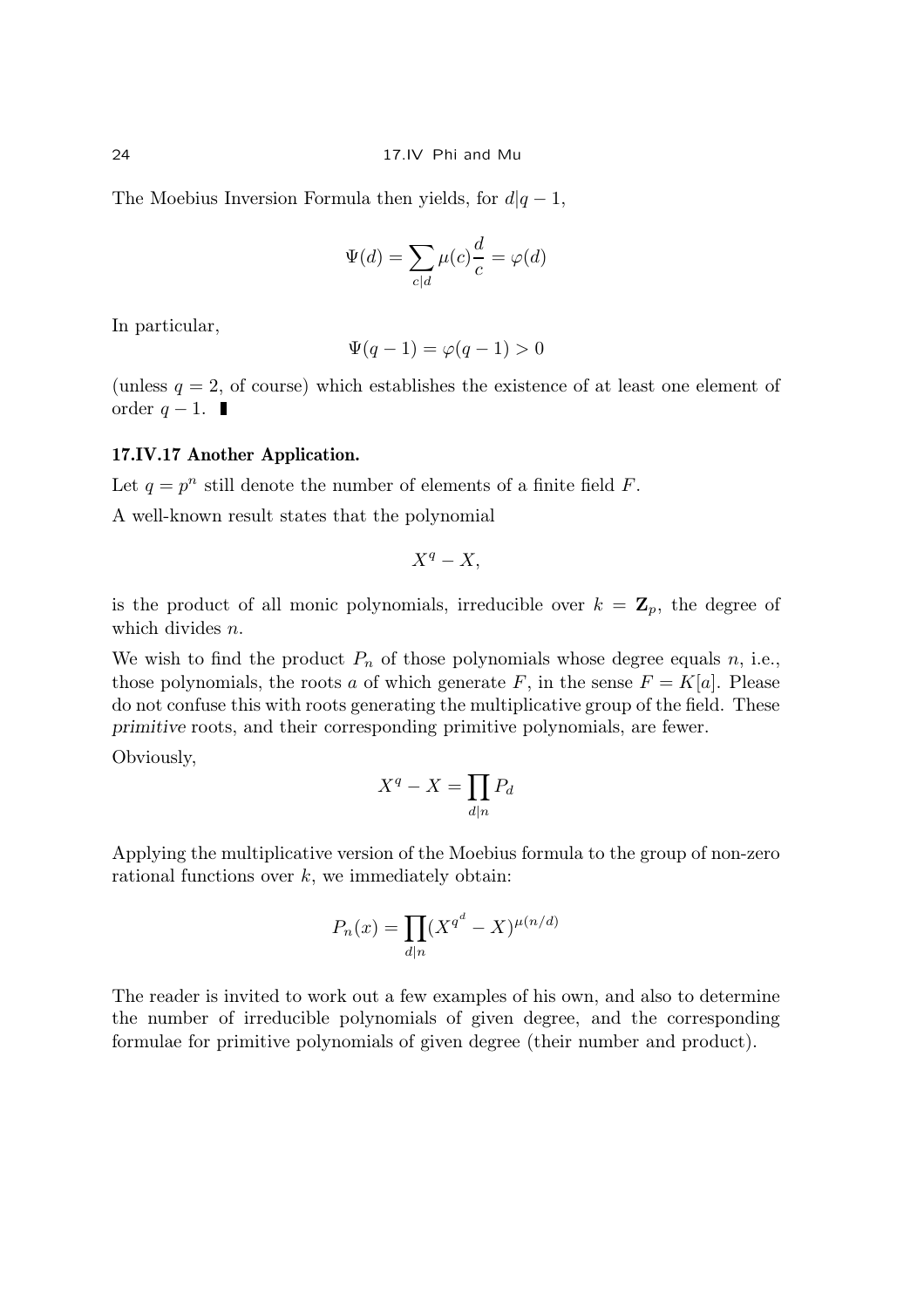The Moebius Inversion Formula then yields, for  $d|q-1$ ,

$$
\Psi(d) = \sum_{c|d} \mu(c) \frac{d}{c} = \varphi(d)
$$

In particular,

$$
\Psi(q-1) = \varphi(q-1) > 0
$$

(unless  $q = 2$ , of course) which establishes the existence of at least one element of order  $q-1$ . ■

# 17.IV.17 Another Application.

Let  $q = p^n$  still denote the number of elements of a finite field F.

A well-known result states that the polynomial

$$
X^q-X,
$$

is the product of all monic polynomials, irreducible over  $k = \mathbb{Z}_p$ , the degree of which divides *n*.

We wish to find the product  $P_n$  of those polynomials whose degree equals n, i.e., those polynomials, the roots a of which generate F, in the sense  $F = K[a]$ . Please do not confuse this with roots generating the multiplicative group of the field. These primitive roots, and their corresponding primitive polynomials, are fewer.

Obviously,

$$
X^q - X = \prod_{d|n} P_d
$$

Applying the multiplicative version of the Moebius formula to the group of non-zero rational functions over  $k$ , we immediately obtain:

$$
P_n(x) = \prod_{d|n} (X^{q^d} - X)^{\mu(n/d)}
$$

The reader is invited to work out a few examples of his own, and also to determine the number of irreducible polynomials of given degree, and the corresponding formulae for primitive polynomials of given degree (their number and product).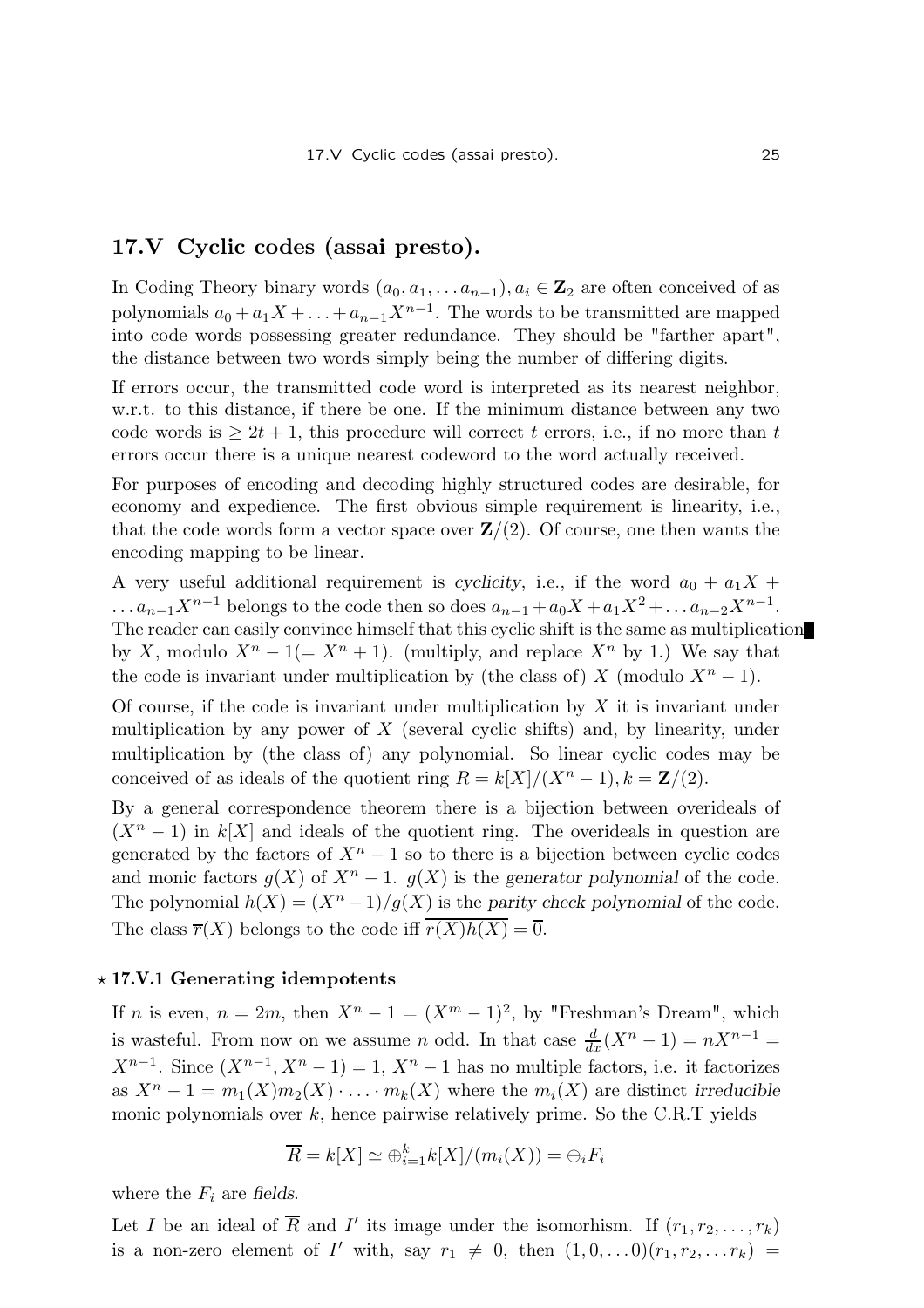# 17.V Cyclic codes (assai presto).

In Coding Theory binary words  $(a_0, a_1, \ldots a_{n-1}), a_i \in \mathbb{Z}_2$  are often conceived of as polynomials  $a_0 + a_1 X + \ldots + a_{n-1} X^{n-1}$ . The words to be transmitted are mapped into code words possessing greater redundance. They should be "farther apart", the distance between two words simply being the number of differing digits.

If errors occur, the transmitted code word is interpreted as its nearest neighbor, w.r.t. to this distance, if there be one. If the minimum distance between any two code words is  $\geq 2t + 1$ , this procedure will correct t errors, i.e., if no more than t errors occur there is a unique nearest codeword to the word actually received.

For purposes of encoding and decoding highly structured codes are desirable, for economy and expedience. The first obvious simple requirement is linearity, i.e., that the code words form a vector space over  $\mathbf{Z}/(2)$ . Of course, one then wants the encoding mapping to be linear.

A very useful additional requirement is cyclicity, i.e., if the word  $a_0 + a_1X +$ ... $a_{n-1}X^{n-1}$  belongs to the code then so does  $a_{n-1} + a_0X + a_1X^2 + ... a_{n-2}X^{n-1}$ . The reader can easily convince himself that this cyclic shift is the same as multiplication by X, modulo  $X^n - 1 (= X^n + 1)$ . (multiply, and replace  $X^n$  by 1.) We say that the code is invariant under multiplication by (the class of) X (modulo  $X<sup>n</sup> - 1$ ).

Of course, if the code is invariant under multiplication by  $X$  it is invariant under multiplication by any power of  $X$  (several cyclic shifts) and, by linearity, under multiplication by (the class of) any polynomial. So linear cyclic codes may be conceived of as ideals of the quotient ring  $R = k[X]/(X<sup>n</sup> - 1), k = \mathbb{Z}/(2)$ .

By a general correspondence theorem there is a bijection between overideals of  $(X<sup>n</sup> - 1)$  in k[X] and ideals of the quotient ring. The overideals in question are generated by the factors of  $X<sup>n</sup> - 1$  so to there is a bijection between cyclic codes and monic factors  $g(X)$  of  $X^n - 1$ .  $g(X)$  is the generator polynomial of the code. The polynomial  $h(X) = (X^{n}-1)/g(X)$  is the parity check polynomial of the code. The class  $\overline{r}(X)$  belongs to the code iff  $\overline{r(X)h(X)} = \overline{0}$ .

### $\star$  17.V.1 Generating idempotents

If *n* is even,  $n = 2m$ , then  $X^n - 1 = (X^m - 1)^2$ , by "Freshman's Dream", which is wasteful. From now on we assume *n* odd. In that case  $\frac{d}{dx}(X^n - 1) = nX^{n-1} =$  $X^{n-1}$ . Since  $(X^{n-1}, X^{n}-1) = 1, X^{n}-1$  has no multiple factors, i.e. it factorizes as  $X^n - 1 = m_1(X)m_2(X) \cdot \ldots \cdot m_k(X)$  where the  $m_i(X)$  are distinct irreducible monic polynomials over  $k$ , hence pairwise relatively prime. So the C.R.T yields

$$
\overline{R} = k[X] \simeq \bigoplus_{i=1}^{k} k[X]/(m_i(X)) = \bigoplus_i F_i
$$

where the  $F_i$  are fields.

Let I be an ideal of  $\overline{R}$  and I' its image under the isomorhism. If  $(r_1, r_2, \ldots, r_k)$ is a non-zero element of I' with, say  $r_1 \neq 0$ , then  $(1, 0, \ldots 0)(r_1, r_2, \ldots r_k)$  =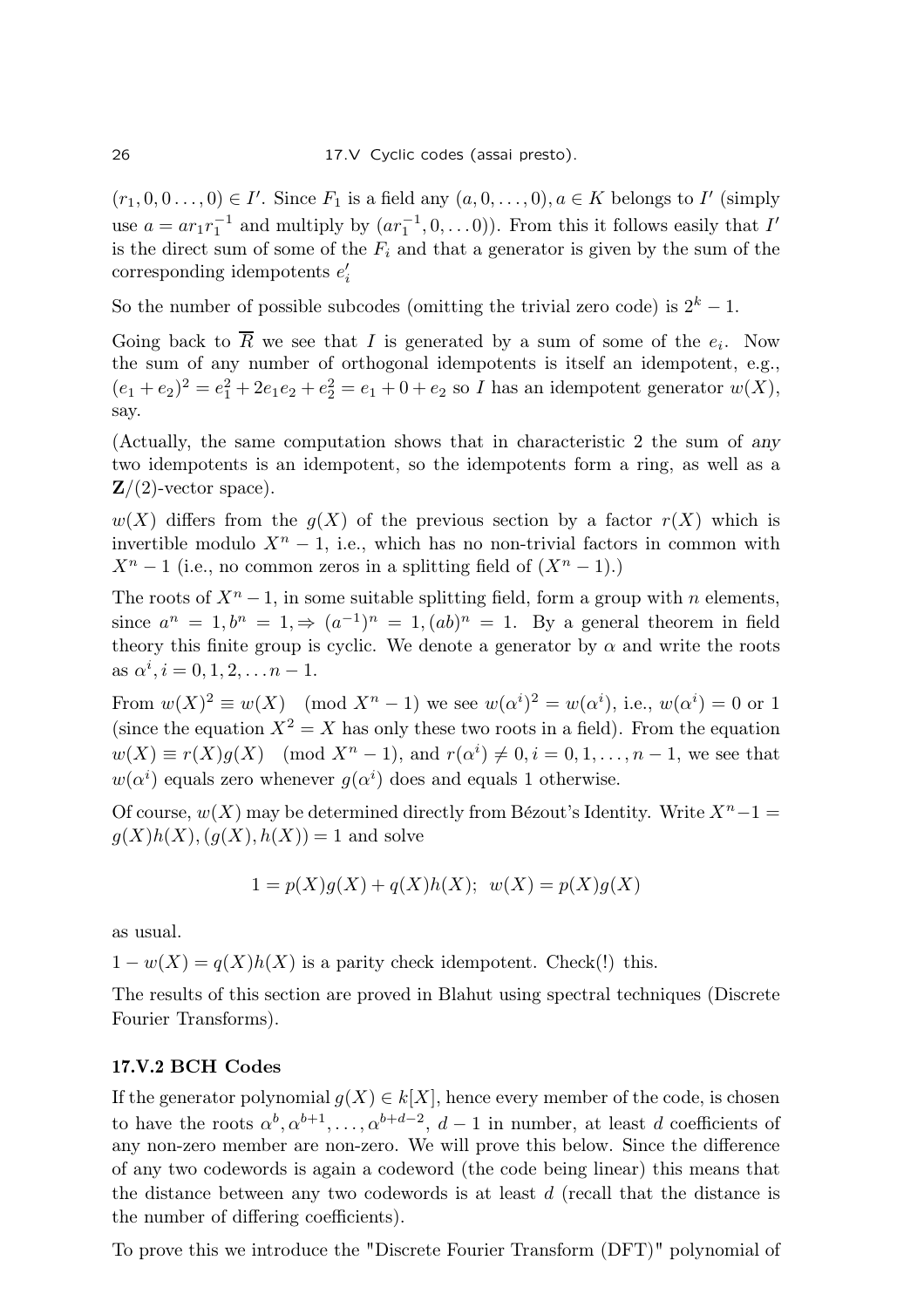$(r_1, 0, 0, \ldots, 0) \in I'$ . Since  $F_1$  is a field any  $(a, 0, \ldots, 0), a \in K$  belongs to I' (simply use  $a = ar_1r_1^{-1}$  $_1^{-1}$  and multiply by  $(ar_1^{-1}, 0, \ldots 0)$ ). From this it follows easily that  $I'$ is the direct sum of some of the  $F_i$  and that a generator is given by the sum of the corresponding idempotents  $e'_{i}$ 

So the number of possible subcodes (omitting the trivial zero code) is  $2^k - 1$ .

Going back to R we see that I is generated by a sum of some of the  $e_i$ . Now the sum of any number of orthogonal idempotents is itself an idempotent, e.g.,  $(e_1 + e_2)^2 = e_1^2 + 2e_1e_2 + e_2^2 = e_1 + 0 + e_2$  so *I* has an idempotent generator  $w(X)$ , say.

(Actually, the same computation shows that in characteristic 2 the sum of any two idempotents is an idempotent, so the idempotents form a ring, as well as a  $\mathbf{Z}/(2)$ -vector space).

 $w(X)$  differs from the  $q(X)$  of the previous section by a factor  $r(X)$  which is invertible modulo  $X<sup>n</sup> - 1$ , i.e., which has no non-trivial factors in common with  $X<sup>n</sup> - 1$  (i.e., no common zeros in a splitting field of  $(X<sup>n</sup> - 1)$ .)

The roots of  $X<sup>n</sup> - 1$ , in some suitable splitting field, form a group with *n* elements, since  $a^n = 1, b^n = 1, \Rightarrow (a^{-1})^n = 1, (ab)^n = 1$ . By a general theorem in field theory this finite group is cyclic. We denote a generator by  $\alpha$  and write the roots as  $\alpha^i, i = 0, 1, 2, \ldots n - 1$ .

From  $w(X)^2 \equiv w(X) \pmod{X^n - 1}$  we see  $w(\alpha^i)^2 = w(\alpha^i)$ , i.e.,  $w(\alpha^i) = 0$  or 1 (since the equation  $X^2 = X$  has only these two roots in a field). From the equation  $w(X) \equiv r(X)g(X) \pmod{X^{n}-1}$ , and  $r(\alpha^{i}) \neq 0, i = 0, 1, \ldots, n-1$ , we see that  $w(\alpha^i)$  equals zero whenever  $g(\alpha^i)$  does and equals 1 otherwise.

Of course,  $w(X)$  may be determined directly from Bézout's Identity. Write  $X<sup>n</sup> - 1 =$  $g(X)h(X), (g(X), h(X)) = 1$  and solve

$$
1 = p(X)g(X) + q(X)h(X); w(X) = p(X)g(X)
$$

as usual.

 $1 - w(X) = q(X)h(X)$  is a parity check idempotent. Check(!) this.

The results of this section are proved in Blahut using spectral techniques (Discrete Fourier Transforms).

# 17.V.2 BCH Codes

If the generator polynomial  $q(X) \in k[X]$ , hence every member of the code, is chosen to have the roots  $\alpha^b, \alpha^{b+1}, \ldots, \alpha^{b+d-2}, d-1$  in number, at least d coefficients of any non-zero member are non-zero. We will prove this below. Since the difference of any two codewords is again a codeword (the code being linear) this means that the distance between any two codewords is at least  $d$  (recall that the distance is the number of differing coefficients).

To prove this we introduce the "Discrete Fourier Transform (DFT)" polynomial of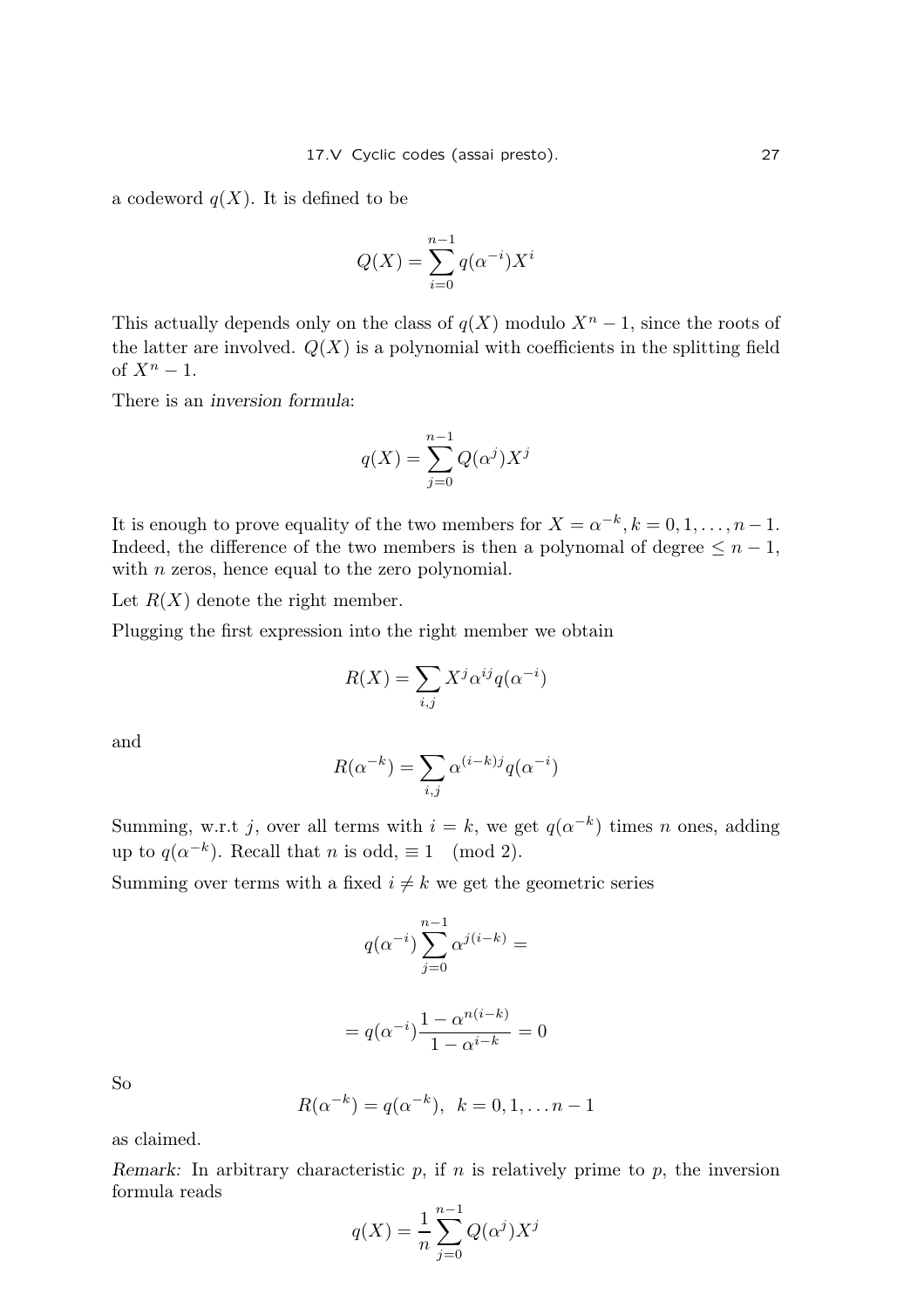a codeword  $q(X)$ . It is defined to be

$$
Q(X) = \sum_{i=0}^{n-1} q(\alpha^{-i}) X^i
$$

This actually depends only on the class of  $q(X)$  modulo  $X<sup>n</sup> - 1$ , since the roots of the latter are involved.  $Q(X)$  is a polynomial with coefficients in the splitting field of  $X^n - 1$ .

There is an inversion formula:

$$
q(X) = \sum_{j=0}^{n-1} Q(\alpha^j) X^j
$$

It is enough to prove equality of the two members for  $X = \alpha^{-k}, k = 0, 1, \ldots, n-1$ . Indeed, the difference of the two members is then a polynomal of degree  $\leq n-1$ , with *n* zeros, hence equal to the zero polynomial.

Let  $R(X)$  denote the right member.

Plugging the first expression into the right member we obtain

$$
R(X) = \sum_{i,j} X^j \alpha^{ij} q(\alpha^{-i})
$$

and

$$
R(\alpha^{-k}) = \sum_{i,j} \alpha^{(i-k)j} q(\alpha^{-i})
$$

Summing, w.r.t j, over all terms with  $i = k$ , we get  $q(\alpha^{-k})$  times n ones, adding up to  $q(\alpha^{-k})$ . Recall that *n* is odd,  $\equiv 1 \pmod{2}$ .

Summing over terms with a fixed  $i \neq k$  we get the geometric series

$$
q(\alpha^{-i})\sum_{j=0}^{n-1}\alpha^{j(i-k)}=
$$

$$
= q(\alpha^{-i}) \frac{1 - \alpha^{n(i-k)}}{1 - \alpha^{i-k}} = 0
$$

So

$$
R(\alpha^{-k}) = q(\alpha^{-k}), \ \ k = 0, 1, \dots n-1
$$

as claimed.

Remark: In arbitrary characteristic  $p$ , if  $n$  is relatively prime to  $p$ , the inversion formula reads

$$
q(X) = \frac{1}{n} \sum_{j=0}^{n-1} Q(\alpha^j) X^j
$$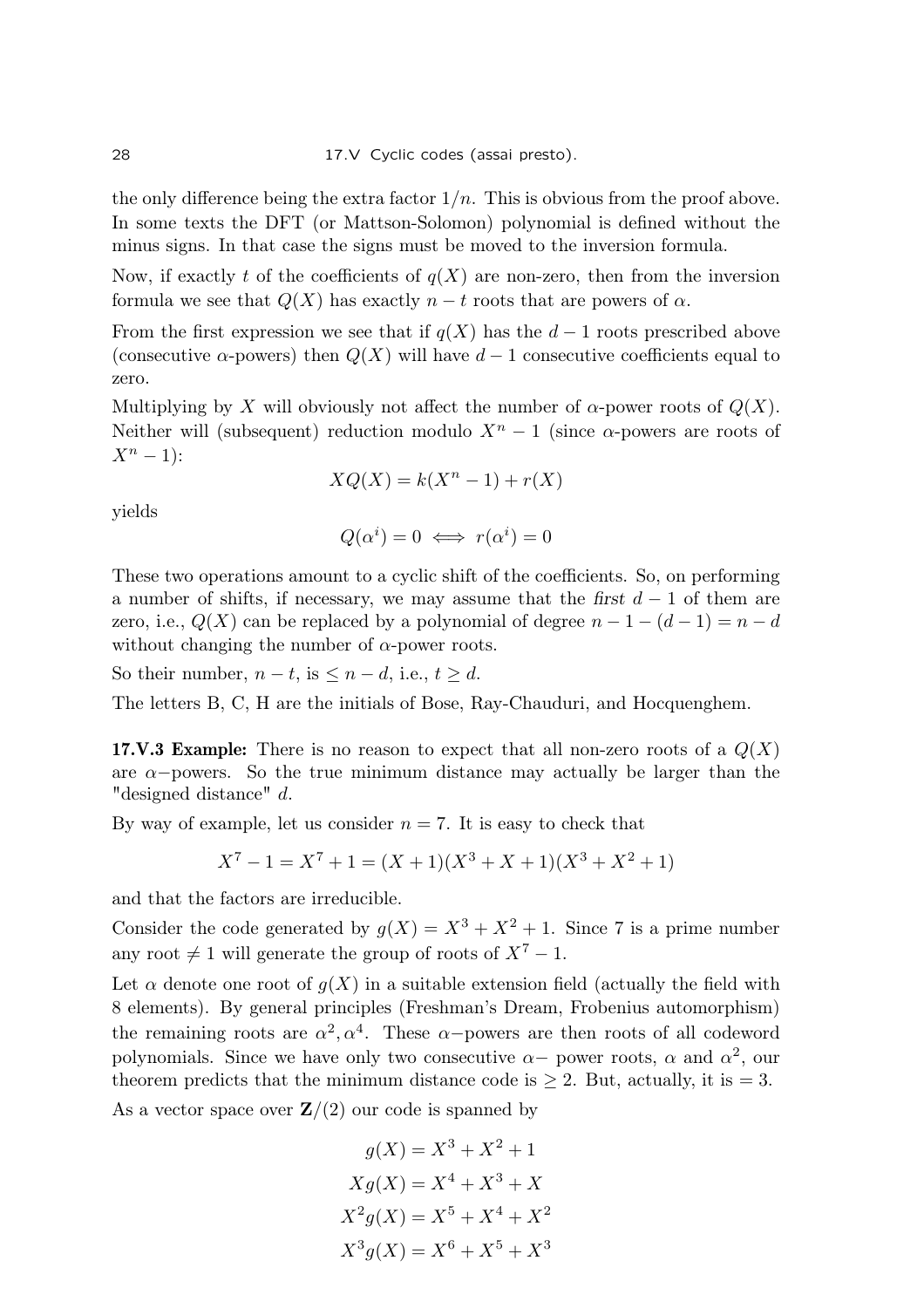the only difference being the extra factor  $1/n$ . This is obvious from the proof above. In some texts the DFT (or Mattson-Solomon) polynomial is defined without the minus signs. In that case the signs must be moved to the inversion formula.

Now, if exactly t of the coefficients of  $q(X)$  are non-zero, then from the inversion formula we see that  $Q(X)$  has exactly  $n - t$  roots that are powers of  $\alpha$ .

From the first expression we see that if  $q(X)$  has the  $d-1$  roots prescribed above (consecutive  $\alpha$ -powers) then  $Q(X)$  will have  $d-1$  consecutive coefficients equal to zero.

Multiplying by X will obviously not affect the number of  $\alpha$ -power roots of  $Q(X)$ . Neither will (subsequent) reduction modulo  $X<sup>n</sup> - 1$  (since  $\alpha$ -powers are roots of  $X^n-1$ :

$$
XQ(X) = k(X^n - 1) + r(X)
$$

yields

$$
Q(\alpha^i) = 0 \iff r(\alpha^i) = 0
$$

These two operations amount to a cyclic shift of the coefficients. So, on performing a number of shifts, if necessary, we may assume that the first  $d-1$  of them are zero, i.e.,  $Q(X)$  can be replaced by a polynomial of degree  $n-1-(d-1)=n-d$ without changing the number of  $\alpha$ -power roots.

So their number,  $n - t$ , is  $\leq n - d$ , i.e.,  $t \geq d$ .

The letters B, C, H are the initials of Bose, Ray-Chauduri, and Hocquenghem.

**17.V.3 Example:** There is no reason to expect that all non-zero roots of a  $Q(X)$ are  $\alpha$ -powers. So the true minimum distance may actually be larger than the "designed distance" d.

By way of example, let us consider  $n = 7$ . It is easy to check that

$$
X7 - 1 = X7 + 1 = (X + 1)(X3 + X + 1)(X3 + X2 + 1)
$$

and that the factors are irreducible.

Consider the code generated by  $q(X) = X^3 + X^2 + 1$ . Since 7 is a prime number any root  $\neq 1$  will generate the group of roots of  $X^7 - 1$ .

Let  $\alpha$  denote one root of  $q(X)$  in a suitable extension field (actually the field with 8 elements). By general principles (Freshman's Dream, Frobenius automorphism) the remaining roots are  $\alpha^2, \alpha^4$ . These  $\alpha$ -powers are then roots of all codeword polynomials. Since we have only two consecutive  $\alpha-$  power roots,  $\alpha$  and  $\alpha^2$ , our theorem predicts that the minimum distance code is  $\geq 2$ . But, actually, it is  $= 3$ .

As a vector space over  $\mathbf{Z}/(2)$  our code is spanned by

$$
g(X) = X^3 + X^2 + 1
$$
  
\n
$$
Xg(X) = X^4 + X^3 + X
$$
  
\n
$$
X^2g(X) = X^5 + X^4 + X^2
$$
  
\n
$$
X^3g(X) = X^6 + X^5 + X^3
$$